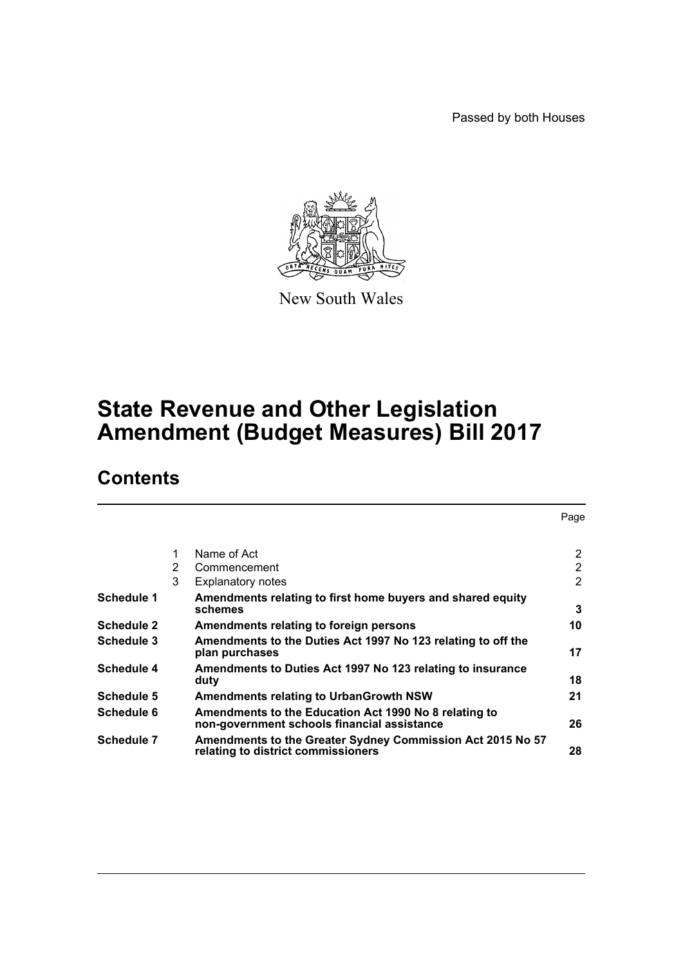Passed by both Houses



New South Wales

# **State Revenue and Other Legislation Amendment (Budget Measures) Bill 2017**

# **Contents**

|                   |   |                                                                                                      | Page |
|-------------------|---|------------------------------------------------------------------------------------------------------|------|
|                   | 1 | Name of Act                                                                                          | 2    |
|                   | 2 | Commencement                                                                                         | 2    |
|                   | 3 | <b>Explanatory notes</b>                                                                             | 2    |
| Schedule 1        |   | Amendments relating to first home buyers and shared equity<br>schemes                                | 3    |
| <b>Schedule 2</b> |   | Amendments relating to foreign persons                                                               | 10   |
| Schedule 3        |   | Amendments to the Duties Act 1997 No 123 relating to off the<br>plan purchases                       | 17   |
| Schedule 4        |   | Amendments to Duties Act 1997 No 123 relating to insurance<br>duty                                   | 18   |
| Schedule 5        |   | <b>Amendments relating to UrbanGrowth NSW</b>                                                        | 21   |
| Schedule 6        |   | Amendments to the Education Act 1990 No 8 relating to<br>non-government schools financial assistance | 26   |
| <b>Schedule 7</b> |   | Amendments to the Greater Sydney Commission Act 2015 No 57<br>relating to district commissioners     | 28   |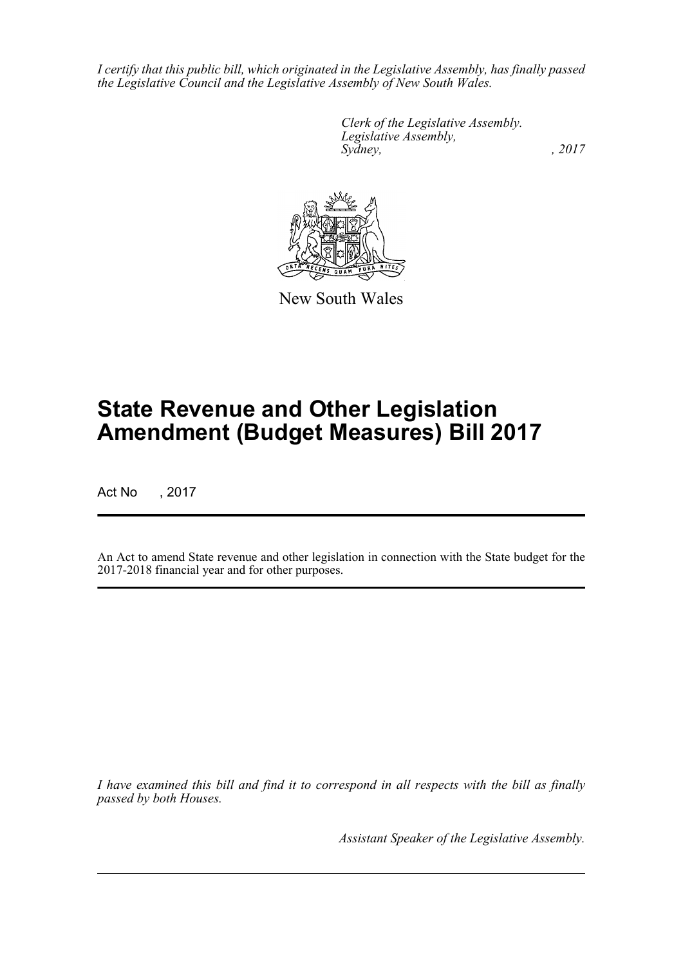*I certify that this public bill, which originated in the Legislative Assembly, has finally passed the Legislative Council and the Legislative Assembly of New South Wales.*

> *Clerk of the Legislative Assembly. Legislative Assembly, Sydney,* , 2017



New South Wales

# **State Revenue and Other Legislation Amendment (Budget Measures) Bill 2017**

Act No , 2017

An Act to amend State revenue and other legislation in connection with the State budget for the 2017-2018 financial year and for other purposes.

*I have examined this bill and find it to correspond in all respects with the bill as finally passed by both Houses.*

*Assistant Speaker of the Legislative Assembly.*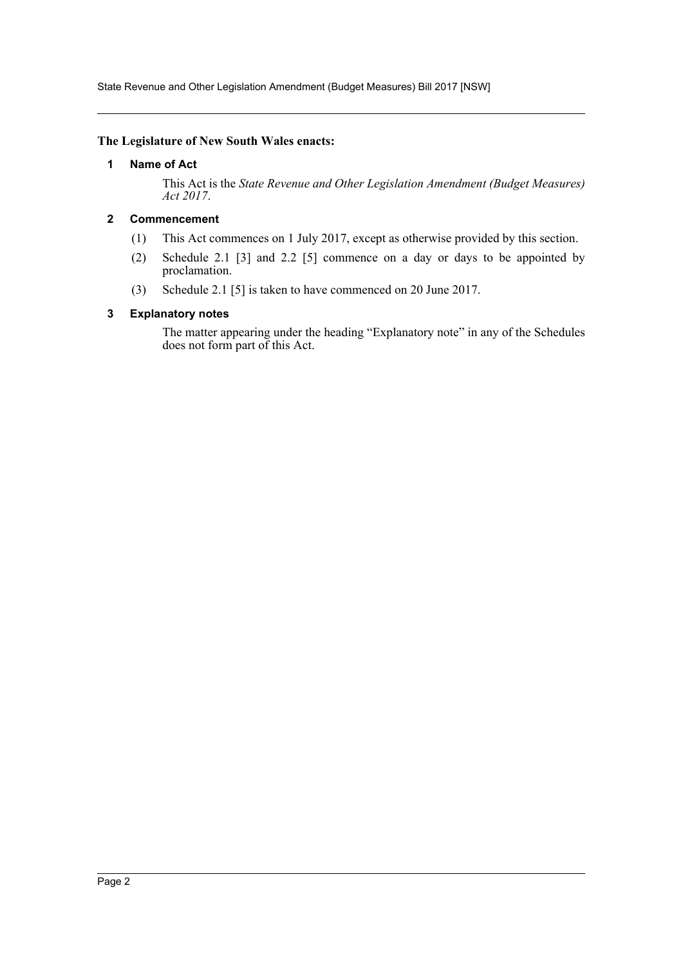State Revenue and Other Legislation Amendment (Budget Measures) Bill 2017 [NSW]

#### <span id="page-2-0"></span>**The Legislature of New South Wales enacts:**

#### **1 Name of Act**

This Act is the *State Revenue and Other Legislation Amendment (Budget Measures) Act 2017*.

## <span id="page-2-1"></span>**2 Commencement**

- (1) This Act commences on 1 July 2017, except as otherwise provided by this section.
- (2) Schedule 2.1 [3] and 2.2 [5] commence on a day or days to be appointed by proclamation.
- (3) Schedule 2.1 [5] is taken to have commenced on 20 June 2017.

#### <span id="page-2-2"></span>**3 Explanatory notes**

The matter appearing under the heading "Explanatory note" in any of the Schedules does not form part of this Act.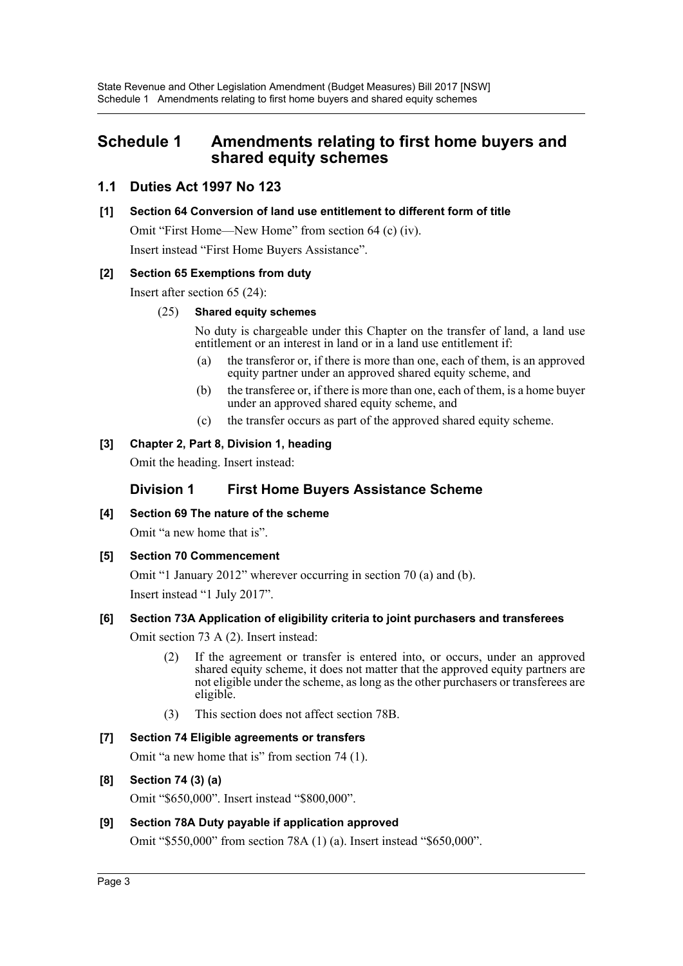# <span id="page-3-0"></span>**Schedule 1 Amendments relating to first home buyers and shared equity schemes**

# **1.1 Duties Act 1997 No 123**

## **[1] Section 64 Conversion of land use entitlement to different form of title**

Omit "First Home—New Home" from section 64 (c) (iv). Insert instead "First Home Buyers Assistance".

## **[2] Section 65 Exemptions from duty**

Insert after section 65 (24):

## (25) **Shared equity schemes**

No duty is chargeable under this Chapter on the transfer of land, a land use entitlement or an interest in land or in a land use entitlement if:

- (a) the transferor or, if there is more than one, each of them, is an approved equity partner under an approved shared equity scheme, and
- (b) the transferee or, if there is more than one, each of them, is a home buyer under an approved shared equity scheme, and
- (c) the transfer occurs as part of the approved shared equity scheme.

## **[3] Chapter 2, Part 8, Division 1, heading**

Omit the heading. Insert instead:

# **Division 1 First Home Buyers Assistance Scheme**

**[4] Section 69 The nature of the scheme**

Omit "a new home that is".

## **[5] Section 70 Commencement**

Omit "1 January 2012" wherever occurring in section 70 (a) and (b).

Insert instead "1 July 2017".

## **[6] Section 73A Application of eligibility criteria to joint purchasers and transferees**

Omit section 73 A (2). Insert instead:

- (2) If the agreement or transfer is entered into, or occurs, under an approved shared equity scheme, it does not matter that the approved equity partners are not eligible under the scheme, as long as the other purchasers or transferees are eligible.
- (3) This section does not affect section 78B.

## **[7] Section 74 Eligible agreements or transfers**

Omit "a new home that is" from section 74 (1).

## **[8] Section 74 (3) (a)**

Omit "\$650,000". Insert instead "\$800,000".

## **[9] Section 78A Duty payable if application approved**

Omit "\$550,000" from section 78A (1) (a). Insert instead "\$650,000".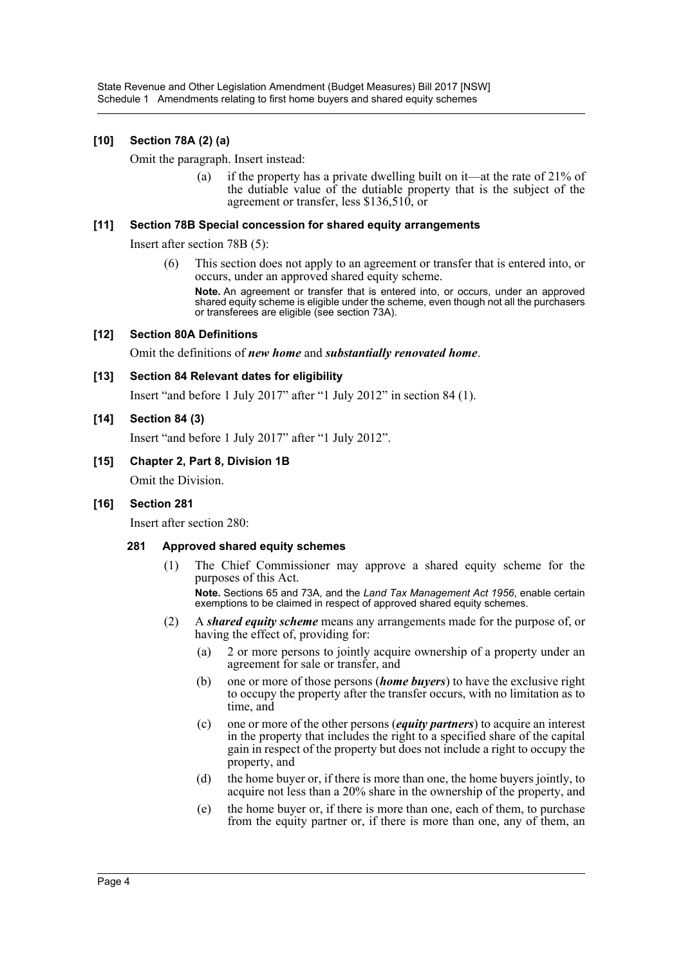## **[10] Section 78A (2) (a)**

Omit the paragraph. Insert instead:

(a) if the property has a private dwelling built on it—at the rate of  $21\%$  of the dutiable value of the dutiable property that is the subject of the agreement or transfer, less \$136,510, or

#### **[11] Section 78B Special concession for shared equity arrangements**

Insert after section 78B (5):

(6) This section does not apply to an agreement or transfer that is entered into, or occurs, under an approved shared equity scheme.

**Note.** An agreement or transfer that is entered into, or occurs, under an approved shared equity scheme is eligible under the scheme, even though not all the purchasers or transferees are eligible (see section 73A).

#### **[12] Section 80A Definitions**

Omit the definitions of *new home* and *substantially renovated home*.

#### **[13] Section 84 Relevant dates for eligibility**

Insert "and before 1 July 2017" after "1 July 2012" in section 84 (1).

#### **[14] Section 84 (3)**

Insert "and before 1 July 2017" after "1 July 2012".

#### **[15] Chapter 2, Part 8, Division 1B**

Omit the Division.

## **[16] Section 281**

Insert after section 280:

#### **281 Approved shared equity schemes**

(1) The Chief Commissioner may approve a shared equity scheme for the purposes of this Act.

**Note.** Sections 65 and 73A, and the *Land Tax Management Act 1956*, enable certain exemptions to be claimed in respect of approved shared equity schemes.

- (2) A *shared equity scheme* means any arrangements made for the purpose of, or having the effect of, providing for:
	- (a) 2 or more persons to jointly acquire ownership of a property under an agreement for sale or transfer, and
	- (b) one or more of those persons (*home buyers*) to have the exclusive right to occupy the property after the transfer occurs, with no limitation as to time, and
	- (c) one or more of the other persons (*equity partners*) to acquire an interest in the property that includes the right to a specified share of the capital gain in respect of the property but does not include a right to occupy the property, and
	- (d) the home buyer or, if there is more than one, the home buyers jointly, to acquire not less than a 20% share in the ownership of the property, and
	- (e) the home buyer or, if there is more than one, each of them, to purchase from the equity partner or, if there is more than one, any of them, an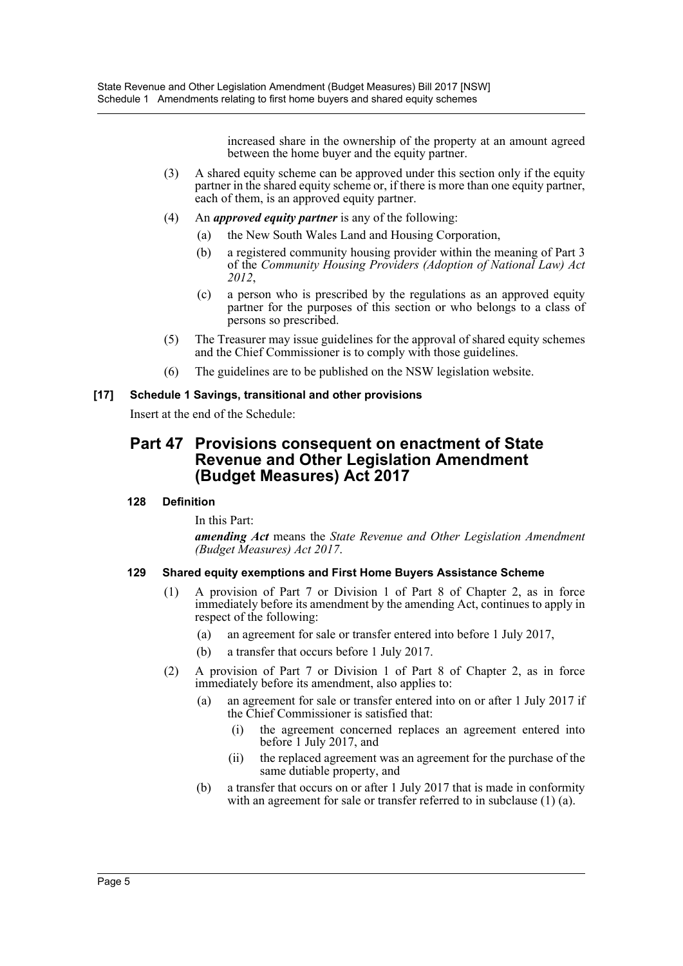increased share in the ownership of the property at an amount agreed between the home buyer and the equity partner.

- (3) A shared equity scheme can be approved under this section only if the equity partner in the shared equity scheme or, if there is more than one equity partner, each of them, is an approved equity partner.
- (4) An *approved equity partner* is any of the following:
	- (a) the New South Wales Land and Housing Corporation,
	- (b) a registered community housing provider within the meaning of Part 3 of the *Community Housing Providers (Adoption of National Law) Act 2012*,
	- (c) a person who is prescribed by the regulations as an approved equity partner for the purposes of this section or who belongs to a class of persons so prescribed.
- (5) The Treasurer may issue guidelines for the approval of shared equity schemes and the Chief Commissioner is to comply with those guidelines.
- (6) The guidelines are to be published on the NSW legislation website.

#### **[17] Schedule 1 Savings, transitional and other provisions**

Insert at the end of the Schedule:

# **Part 47 Provisions consequent on enactment of State Revenue and Other Legislation Amendment (Budget Measures) Act 2017**

## **128 Definition**

In this Part:

*amending Act* means the *State Revenue and Other Legislation Amendment (Budget Measures) Act 2017*.

## **129 Shared equity exemptions and First Home Buyers Assistance Scheme**

- (1) A provision of Part 7 or Division 1 of Part 8 of Chapter 2, as in force immediately before its amendment by the amending Act, continues to apply in respect of the following:
	- (a) an agreement for sale or transfer entered into before 1 July 2017,
	- (b) a transfer that occurs before 1 July 2017.
- (2) A provision of Part 7 or Division 1 of Part 8 of Chapter 2, as in force immediately before its amendment, also applies to:
	- (a) an agreement for sale or transfer entered into on or after 1 July 2017 if the Chief Commissioner is satisfied that:
		- (i) the agreement concerned replaces an agreement entered into before 1 July 2017, and
		- (ii) the replaced agreement was an agreement for the purchase of the same dutiable property, and
	- (b) a transfer that occurs on or after 1 July 2017 that is made in conformity with an agreement for sale or transfer referred to in subclause (1) (a).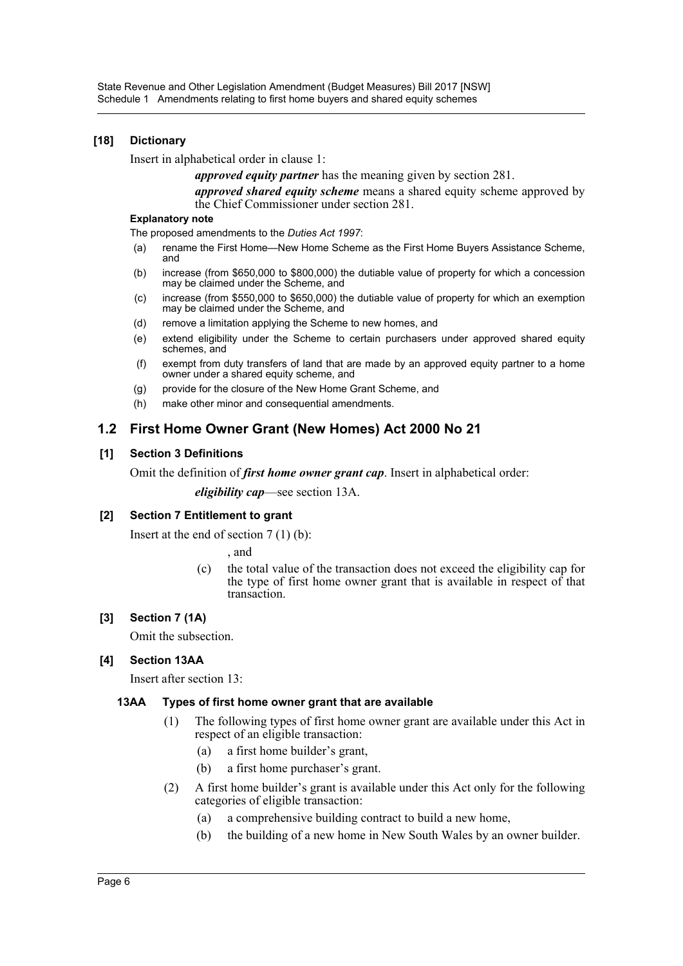#### **[18] Dictionary**

Insert in alphabetical order in clause 1:

*approved equity partner* has the meaning given by section 281.

*approved shared equity scheme* means a shared equity scheme approved by the Chief Commissioner under section 281.

#### **Explanatory note**

The proposed amendments to the *Duties Act 1997*:

- (a) rename the First Home—New Home Scheme as the First Home Buyers Assistance Scheme, and
- (b) increase (from \$650,000 to \$800,000) the dutiable value of property for which a concession may be claimed under the Scheme, and
- (c) increase (from \$550,000 to \$650,000) the dutiable value of property for which an exemption may be claimed under the Scheme, and
- (d) remove a limitation applying the Scheme to new homes, and
- (e) extend eligibility under the Scheme to certain purchasers under approved shared equity schemes, and
- (f) exempt from duty transfers of land that are made by an approved equity partner to a home owner under a shared equity scheme, and
- (g) provide for the closure of the New Home Grant Scheme, and
- (h) make other minor and consequential amendments.

## **1.2 First Home Owner Grant (New Homes) Act 2000 No 21**

#### **[1] Section 3 Definitions**

Omit the definition of *first home owner grant cap*. Insert in alphabetical order:

*eligibility cap*—see section 13A.

#### **[2] Section 7 Entitlement to grant**

Insert at the end of section 7 (1) (b):

, and

(c) the total value of the transaction does not exceed the eligibility cap for the type of first home owner grant that is available in respect of that transaction.

#### **[3] Section 7 (1A)**

Omit the subsection.

## **[4] Section 13AA**

Insert after section 13:

#### **13AA Types of first home owner grant that are available**

- (1) The following types of first home owner grant are available under this Act in respect of an eligible transaction:
	- (a) a first home builder's grant,
	- (b) a first home purchaser's grant.
- (2) A first home builder's grant is available under this Act only for the following categories of eligible transaction:
	- (a) a comprehensive building contract to build a new home,
	- (b) the building of a new home in New South Wales by an owner builder.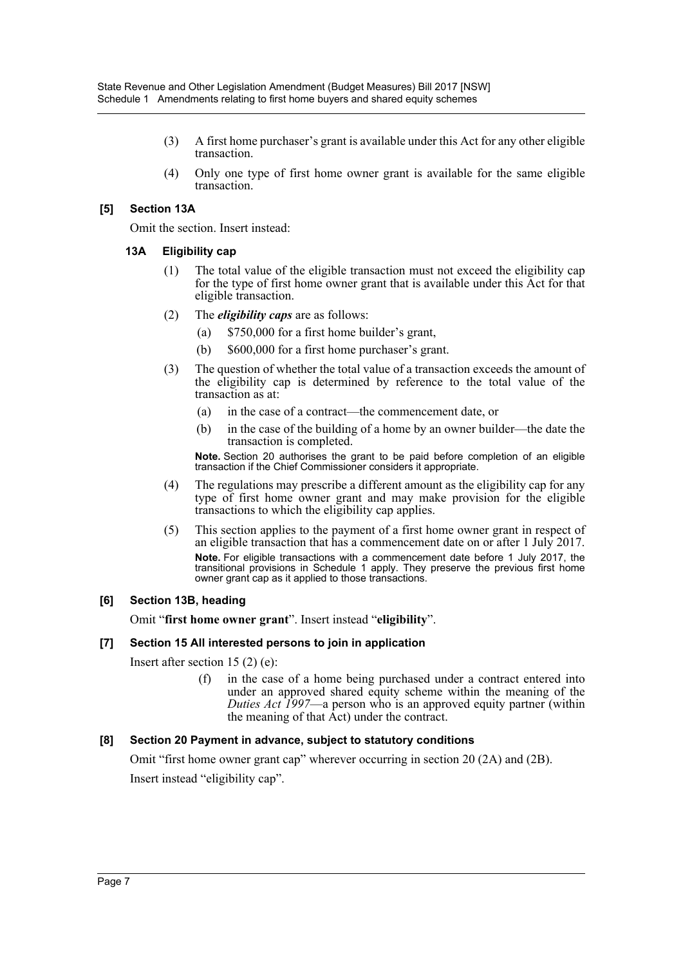- (3) A first home purchaser's grant is available under this Act for any other eligible transaction.
- (4) Only one type of first home owner grant is available for the same eligible transaction.

#### **[5] Section 13A**

Omit the section. Insert instead:

#### **13A Eligibility cap**

- (1) The total value of the eligible transaction must not exceed the eligibility cap for the type of first home owner grant that is available under this Act for that eligible transaction.
- (2) The *eligibility caps* are as follows:
	- (a) \$750,000 for a first home builder's grant,
	- (b) \$600,000 for a first home purchaser's grant.
- (3) The question of whether the total value of a transaction exceeds the amount of the eligibility cap is determined by reference to the total value of the transaction as at:
	- (a) in the case of a contract—the commencement date, or
	- (b) in the case of the building of a home by an owner builder—the date the transaction is completed.

**Note.** Section 20 authorises the grant to be paid before completion of an eligible transaction if the Chief Commissioner considers it appropriate.

- (4) The regulations may prescribe a different amount as the eligibility cap for any type of first home owner grant and may make provision for the eligible transactions to which the eligibility cap applies.
- (5) This section applies to the payment of a first home owner grant in respect of an eligible transaction that has a commencement date on or after 1 July 2017. **Note.** For eligible transactions with a commencement date before 1 July 2017, the transitional provisions in Schedule 1 apply. They preserve the previous first home owner grant cap as it applied to those transactions.

## **[6] Section 13B, heading**

Omit "**first home owner grant**". Insert instead "**eligibility**".

#### **[7] Section 15 All interested persons to join in application**

Insert after section 15 (2) (e):

(f) in the case of a home being purchased under a contract entered into under an approved shared equity scheme within the meaning of the *Duties Act 1997*—a person who is an approved equity partner (within the meaning of that Act) under the contract.

## **[8] Section 20 Payment in advance, subject to statutory conditions**

Omit "first home owner grant cap" wherever occurring in section 20 (2A) and (2B). Insert instead "eligibility cap".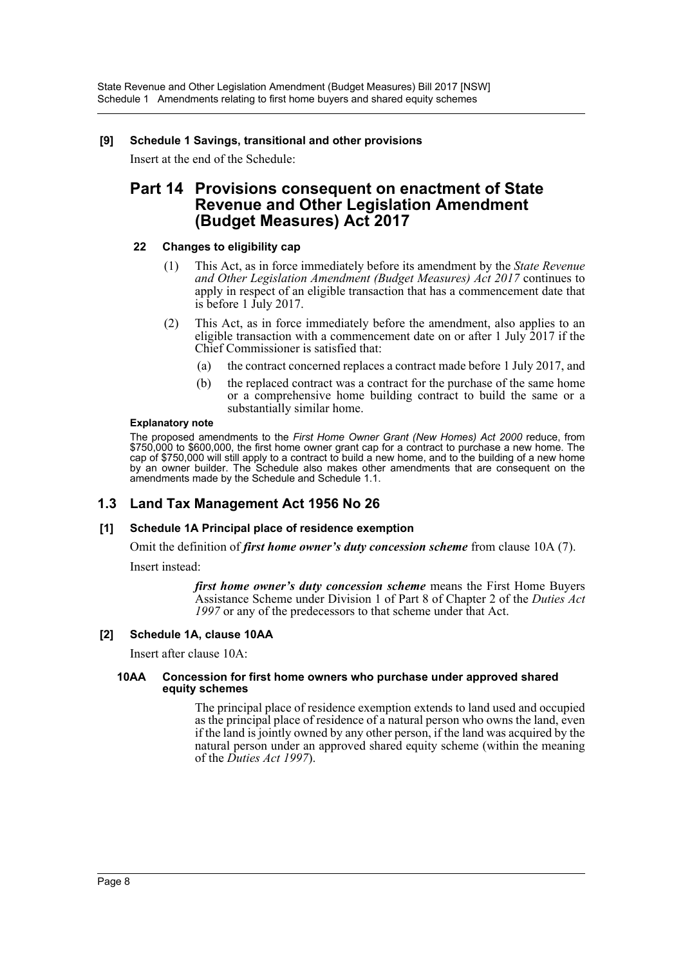#### **[9] Schedule 1 Savings, transitional and other provisions**

Insert at the end of the Schedule:

# **Part 14 Provisions consequent on enactment of State Revenue and Other Legislation Amendment (Budget Measures) Act 2017**

#### **22 Changes to eligibility cap**

- (1) This Act, as in force immediately before its amendment by the *State Revenue and Other Legislation Amendment (Budget Measures) Act 2017* continues to apply in respect of an eligible transaction that has a commencement date that is before 1 July 2017.
- (2) This Act, as in force immediately before the amendment, also applies to an eligible transaction with a commencement date on or after 1 July  $2017$  if the Chief Commissioner is satisfied that:
	- (a) the contract concerned replaces a contract made before 1 July 2017, and
	- (b) the replaced contract was a contract for the purchase of the same home or a comprehensive home building contract to build the same or a substantially similar home.

#### **Explanatory note**

The proposed amendments to the *First Home Owner Grant (New Homes) Act 2000* reduce, from \$750,000 to \$600,000, the first home owner grant cap for a contract to purchase a new home. The cap of \$750,000 will still apply to a contract to build a new home, and to the building of a new home by an owner builder. The Schedule also makes other amendments that are consequent on the amendments made by the Schedule and Schedule 1.1.

## **1.3 Land Tax Management Act 1956 No 26**

## **[1] Schedule 1A Principal place of residence exemption**

Omit the definition of *first home owner's duty concession scheme* from clause 10A (7).

Insert instead:

*first home owner's duty concession scheme* means the First Home Buyers Assistance Scheme under Division 1 of Part 8 of Chapter 2 of the *Duties Act* 1997 or any of the predecessors to that scheme under that Act.

#### **[2] Schedule 1A, clause 10AA**

Insert after clause 10A:

#### **10AA Concession for first home owners who purchase under approved shared equity schemes**

The principal place of residence exemption extends to land used and occupied as the principal place of residence of a natural person who owns the land, even if the land is jointly owned by any other person, if the land was acquired by the natural person under an approved shared equity scheme (within the meaning of the *Duties Act 1997*).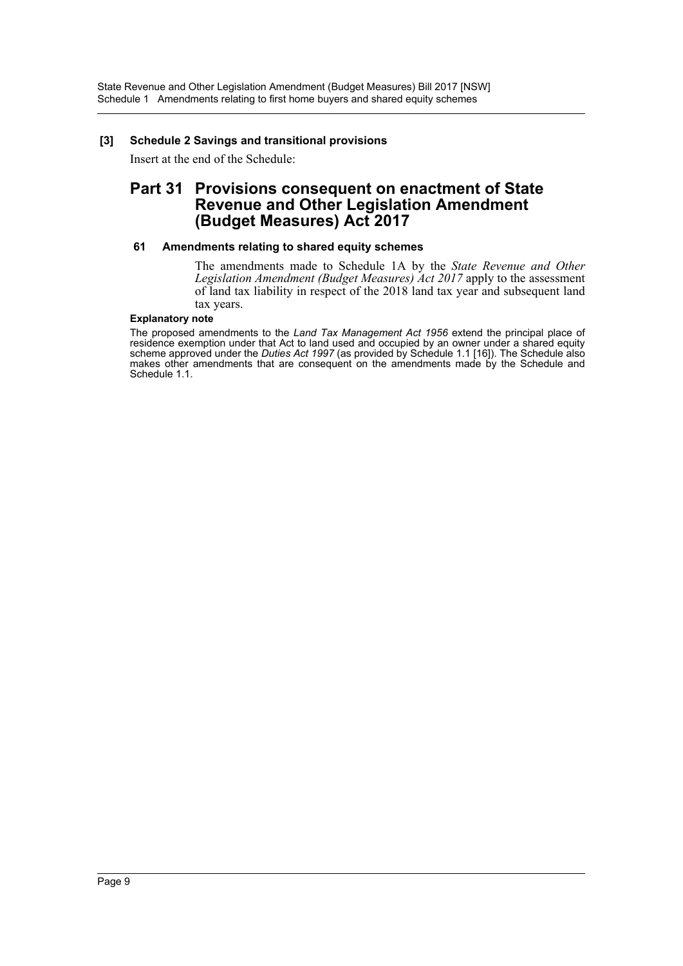#### **[3] Schedule 2 Savings and transitional provisions**

Insert at the end of the Schedule:

# **Part 31 Provisions consequent on enactment of State Revenue and Other Legislation Amendment (Budget Measures) Act 2017**

#### **61 Amendments relating to shared equity schemes**

The amendments made to Schedule 1A by the *State Revenue and Other Legislation Amendment (Budget Measures) Act 2017* apply to the assessment of land tax liability in respect of the 2018 land tax year and subsequent land tax years.

#### **Explanatory note**

The proposed amendments to the *Land Tax Management Act 1956* extend the principal place of residence exemption under that Act to land used and occupied by an owner under a shared equity scheme approved under the *Duties Act 1997* (as provided by Schedule 1.1 [16]). The Schedule also makes other amendments that are consequent on the amendments made by the Schedule and Schedule 1.1.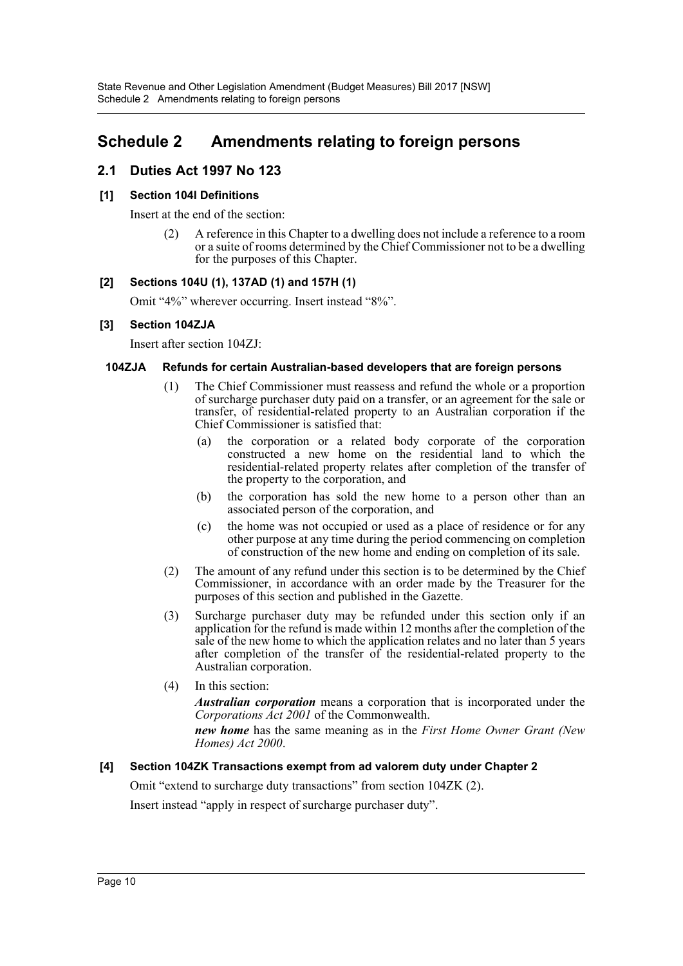# <span id="page-10-0"></span>**Schedule 2 Amendments relating to foreign persons**

# **2.1 Duties Act 1997 No 123**

#### **[1] Section 104I Definitions**

Insert at the end of the section:

(2) A reference in this Chapter to a dwelling does not include a reference to a room or a suite of rooms determined by the Chief Commissioner not to be a dwelling for the purposes of this Chapter.

#### **[2] Sections 104U (1), 137AD (1) and 157H (1)**

Omit "4%" wherever occurring. Insert instead "8%".

#### **[3] Section 104ZJA**

Insert after section 104ZJ:

#### **104ZJA Refunds for certain Australian-based developers that are foreign persons**

- (1) The Chief Commissioner must reassess and refund the whole or a proportion of surcharge purchaser duty paid on a transfer, or an agreement for the sale or transfer, of residential-related property to an Australian corporation if the Chief Commissioner is satisfied that:
	- (a) the corporation or a related body corporate of the corporation constructed a new home on the residential land to which the residential-related property relates after completion of the transfer of the property to the corporation, and
	- (b) the corporation has sold the new home to a person other than an associated person of the corporation, and
	- (c) the home was not occupied or used as a place of residence or for any other purpose at any time during the period commencing on completion of construction of the new home and ending on completion of its sale.
- (2) The amount of any refund under this section is to be determined by the Chief Commissioner, in accordance with an order made by the Treasurer for the purposes of this section and published in the Gazette.
- (3) Surcharge purchaser duty may be refunded under this section only if an application for the refund is made within 12 months after the completion of the sale of the new home to which the application relates and no later than 5 years after completion of the transfer of the residential-related property to the Australian corporation.
- (4) In this section:

*Australian corporation* means a corporation that is incorporated under the *Corporations Act 2001* of the Commonwealth.

*new home* has the same meaning as in the *First Home Owner Grant (New Homes) Act 2000*.

#### **[4] Section 104ZK Transactions exempt from ad valorem duty under Chapter 2**

Omit "extend to surcharge duty transactions" from section 104ZK (2).

Insert instead "apply in respect of surcharge purchaser duty".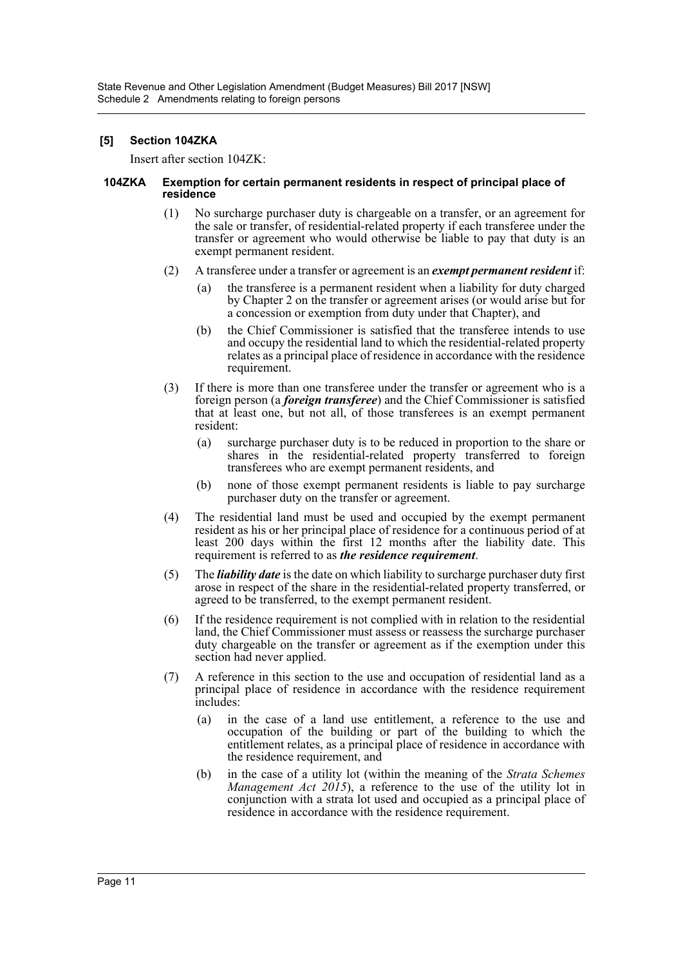#### **[5] Section 104ZKA**

Insert after section 104ZK:

#### **104ZKA Exemption for certain permanent residents in respect of principal place of residence**

- (1) No surcharge purchaser duty is chargeable on a transfer, or an agreement for the sale or transfer, of residential-related property if each transferee under the transfer or agreement who would otherwise be liable to pay that duty is an exempt permanent resident.
- (2) A transferee under a transfer or agreement is an *exempt permanent resident* if:
	- (a) the transferee is a permanent resident when a liability for duty charged by Chapter 2 on the transfer or agreement arises (or would arise but for a concession or exemption from duty under that Chapter), and
	- (b) the Chief Commissioner is satisfied that the transferee intends to use and occupy the residential land to which the residential-related property relates as a principal place of residence in accordance with the residence requirement.
- (3) If there is more than one transferee under the transfer or agreement who is a foreign person (a *foreign transferee*) and the Chief Commissioner is satisfied that at least one, but not all, of those transferees is an exempt permanent resident:
	- (a) surcharge purchaser duty is to be reduced in proportion to the share or shares in the residential-related property transferred to foreign transferees who are exempt permanent residents, and
	- (b) none of those exempt permanent residents is liable to pay surcharge purchaser duty on the transfer or agreement.
- (4) The residential land must be used and occupied by the exempt permanent resident as his or her principal place of residence for a continuous period of at least 200 days within the first 12 months after the liability date. This requirement is referred to as *the residence requirement*.
- (5) The *liability date* is the date on which liability to surcharge purchaser duty first arose in respect of the share in the residential-related property transferred, or agreed to be transferred, to the exempt permanent resident.
- (6) If the residence requirement is not complied with in relation to the residential land, the Chief Commissioner must assess or reassess the surcharge purchaser duty chargeable on the transfer or agreement as if the exemption under this section had never applied.
- (7) A reference in this section to the use and occupation of residential land as a principal place of residence in accordance with the residence requirement includes:
	- (a) in the case of a land use entitlement, a reference to the use and occupation of the building or part of the building to which the entitlement relates, as a principal place of residence in accordance with the residence requirement, and
	- (b) in the case of a utility lot (within the meaning of the *Strata Schemes Management Act 2015*), a reference to the use of the utility lot in conjunction with a strata lot used and occupied as a principal place of residence in accordance with the residence requirement.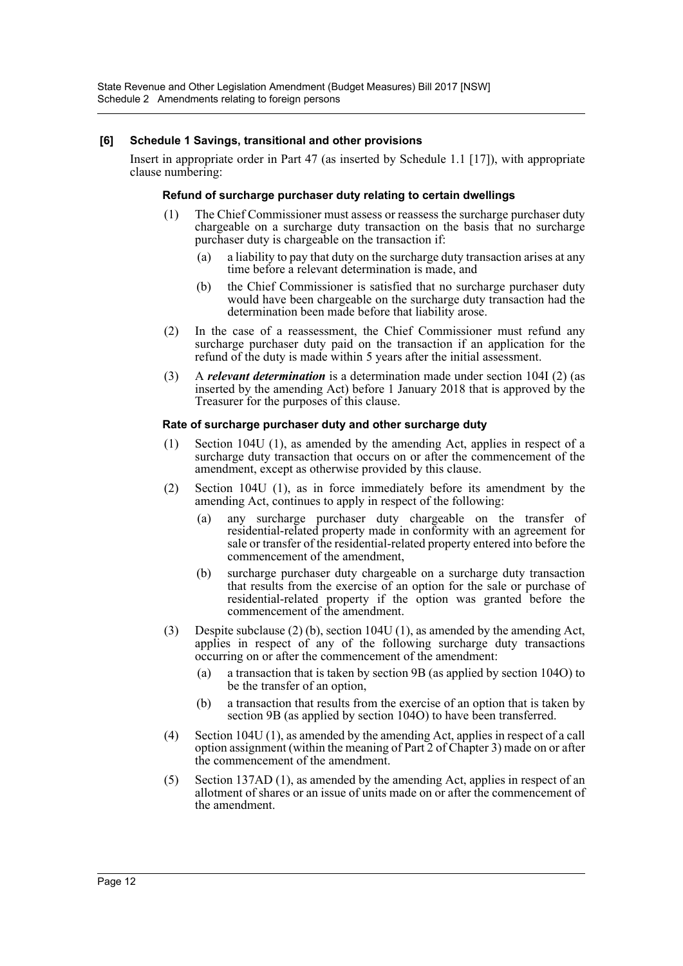#### **[6] Schedule 1 Savings, transitional and other provisions**

Insert in appropriate order in Part 47 (as inserted by Schedule 1.1 [17]), with appropriate clause numbering:

#### **Refund of surcharge purchaser duty relating to certain dwellings**

- (1) The Chief Commissioner must assess or reassess the surcharge purchaser duty chargeable on a surcharge duty transaction on the basis that no surcharge purchaser duty is chargeable on the transaction if:
	- (a) a liability to pay that duty on the surcharge duty transaction arises at any time before a relevant determination is made, and
	- (b) the Chief Commissioner is satisfied that no surcharge purchaser duty would have been chargeable on the surcharge duty transaction had the determination been made before that liability arose.
- (2) In the case of a reassessment, the Chief Commissioner must refund any surcharge purchaser duty paid on the transaction if an application for the refund of the duty is made within 5 years after the initial assessment.
- (3) A *relevant determination* is a determination made under section 104I (2) (as inserted by the amending Act) before 1 January 2018 that is approved by the Treasurer for the purposes of this clause.

#### **Rate of surcharge purchaser duty and other surcharge duty**

- (1) Section 104U (1), as amended by the amending Act, applies in respect of a surcharge duty transaction that occurs on or after the commencement of the amendment, except as otherwise provided by this clause.
- (2) Section 104U (1), as in force immediately before its amendment by the amending Act, continues to apply in respect of the following:
	- (a) any surcharge purchaser duty chargeable on the transfer of residential-related property made in conformity with an agreement for sale or transfer of the residential-related property entered into before the commencement of the amendment,
	- (b) surcharge purchaser duty chargeable on a surcharge duty transaction that results from the exercise of an option for the sale or purchase of residential-related property if the option was granted before the commencement of the amendment.
- (3) Despite subclause (2) (b), section 104U (1), as amended by the amending Act, applies in respect of any of the following surcharge duty transactions occurring on or after the commencement of the amendment:
	- (a) a transaction that is taken by section 9B (as applied by section 104O) to be the transfer of an option,
	- (b) a transaction that results from the exercise of an option that is taken by section 9B (as applied by section 104O) to have been transferred.
- (4) Section 104U (1), as amended by the amending Act, applies in respect of a call option assignment (within the meaning of Part 2 of Chapter 3) made on or after the commencement of the amendment.
- (5) Section 137AD (1), as amended by the amending Act, applies in respect of an allotment of shares or an issue of units made on or after the commencement of the amendment.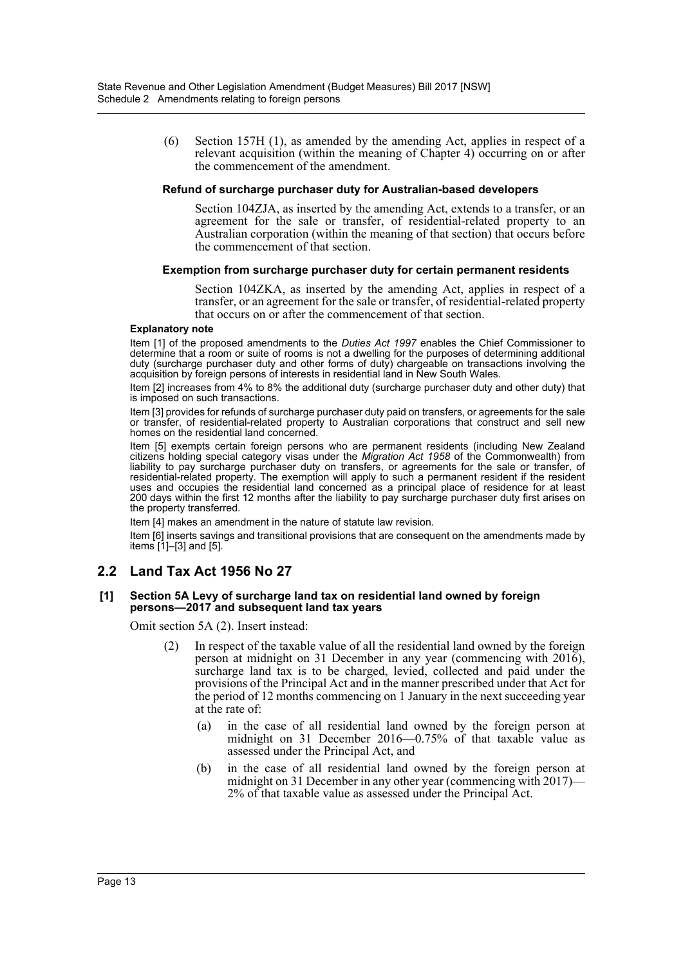(6) Section 157H (1), as amended by the amending Act, applies in respect of a relevant acquisition (within the meaning of Chapter 4) occurring on or after the commencement of the amendment.

#### **Refund of surcharge purchaser duty for Australian-based developers**

Section 104ZJA, as inserted by the amending Act, extends to a transfer, or an agreement for the sale or transfer, of residential-related property to an Australian corporation (within the meaning of that section) that occurs before the commencement of that section.

#### **Exemption from surcharge purchaser duty for certain permanent residents**

Section 104ZKA, as inserted by the amending Act, applies in respect of a transfer, or an agreement for the sale or transfer, of residential-related property that occurs on or after the commencement of that section.

#### **Explanatory note**

Item [1] of the proposed amendments to the *Duties Act 1997* enables the Chief Commissioner to determine that a room or suite of rooms is not a dwelling for the purposes of determining additional duty (surcharge purchaser duty and other forms of duty) chargeable on transactions involving the acquisition by foreign persons of interests in residential land in New South Wales.

Item [2] increases from 4% to 8% the additional duty (surcharge purchaser duty and other duty) that is imposed on such transactions.

Item [3] provides for refunds of surcharge purchaser duty paid on transfers, or agreements for the sale or transfer, of residential-related property to Australian corporations that construct and sell new homes on the residential land concerned.

Item [5] exempts certain foreign persons who are permanent residents (including New Zealand citizens holding special category visas under the *Migration Act 1958* of the Commonwealth) from liability to pay surcharge purchaser duty on transfers, or agreements for the sale or transfer, of residential-related property. The exemption will apply to such a permanent resident if the resident uses and occupies the residential land concerned as a principal place of residence for at least 200 days within the first 12 months after the liability to pay surcharge purchaser duty first arises on the property transferred.

Item [4] makes an amendment in the nature of statute law revision.

Item [6] inserts savings and transitional provisions that are consequent on the amendments made by items [1]–[3] and [5].

## **2.2 Land Tax Act 1956 No 27**

#### **[1] Section 5A Levy of surcharge land tax on residential land owned by foreign persons—2017 and subsequent land tax years**

Omit section 5A (2). Insert instead:

- (2) In respect of the taxable value of all the residential land owned by the foreign person at midnight on 31 December in any year (commencing with 2016), surcharge land tax is to be charged, levied, collected and paid under the provisions of the Principal Act and in the manner prescribed under that Act for the period of 12 months commencing on 1 January in the next succeeding year at the rate of:
	- (a) in the case of all residential land owned by the foreign person at midnight on 31 December 2016—0.75% of that taxable value as assessed under the Principal Act, and
	- (b) in the case of all residential land owned by the foreign person at midnight on 31 December in any other year (commencing with 2017)— 2% of that taxable value as assessed under the Principal Act.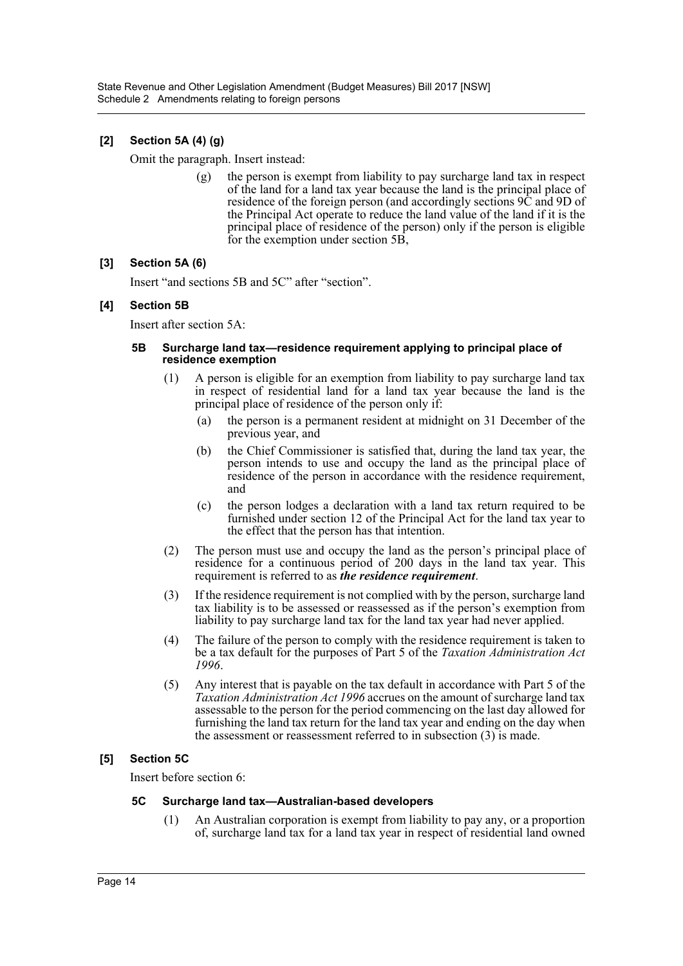## **[2] Section 5A (4) (g)**

Omit the paragraph. Insert instead:

(g) the person is exempt from liability to pay surcharge land tax in respect of the land for a land tax year because the land is the principal place of residence of the foreign person (and accordingly sections 9C and 9D of the Principal Act operate to reduce the land value of the land if it is the principal place of residence of the person) only if the person is eligible for the exemption under section 5B,

#### **[3] Section 5A (6)**

Insert "and sections 5B and 5C" after "section".

#### **[4] Section 5B**

Insert after section 5A:

#### **5B Surcharge land tax—residence requirement applying to principal place of residence exemption**

- (1) A person is eligible for an exemption from liability to pay surcharge land tax in respect of residential land for a land tax year because the land is the principal place of residence of the person only if:
	- (a) the person is a permanent resident at midnight on 31 December of the previous year, and
	- (b) the Chief Commissioner is satisfied that, during the land tax year, the person intends to use and occupy the land as the principal place of residence of the person in accordance with the residence requirement, and
	- (c) the person lodges a declaration with a land tax return required to be furnished under section 12 of the Principal Act for the land tax year to the effect that the person has that intention.
- (2) The person must use and occupy the land as the person's principal place of residence for a continuous period of 200 days in the land tax year. This requirement is referred to as *the residence requirement*.
- (3) If the residence requirement is not complied with by the person, surcharge land tax liability is to be assessed or reassessed as if the person's exemption from liability to pay surcharge land tax for the land tax year had never applied.
- (4) The failure of the person to comply with the residence requirement is taken to be a tax default for the purposes of Part 5 of the *Taxation Administration Act 1996*.
- (5) Any interest that is payable on the tax default in accordance with Part 5 of the *Taxation Administration Act 1996* accrues on the amount of surcharge land tax assessable to the person for the period commencing on the last day allowed for furnishing the land tax return for the land tax year and ending on the day when the assessment or reassessment referred to in subsection (3) is made.

#### **[5] Section 5C**

Insert before section 6:

#### **5C Surcharge land tax—Australian-based developers**

(1) An Australian corporation is exempt from liability to pay any, or a proportion of, surcharge land tax for a land tax year in respect of residential land owned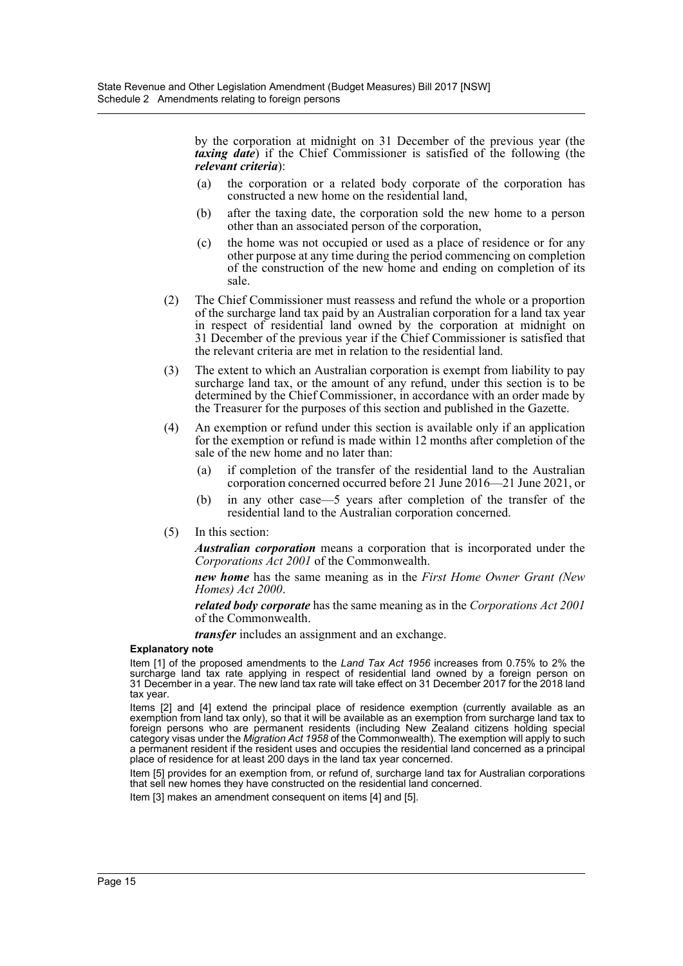by the corporation at midnight on 31 December of the previous year (the *taxing date*) if the Chief Commissioner is satisfied of the following (the *relevant criteria*):

- (a) the corporation or a related body corporate of the corporation has constructed a new home on the residential land,
- (b) after the taxing date, the corporation sold the new home to a person other than an associated person of the corporation,
- (c) the home was not occupied or used as a place of residence or for any other purpose at any time during the period commencing on completion of the construction of the new home and ending on completion of its sale.
- (2) The Chief Commissioner must reassess and refund the whole or a proportion of the surcharge land tax paid by an Australian corporation for a land tax year in respect of residential land owned by the corporation at midnight on 31 December of the previous year if the Chief Commissioner is satisfied that the relevant criteria are met in relation to the residential land.
- (3) The extent to which an Australian corporation is exempt from liability to pay surcharge land tax, or the amount of any refund, under this section is to be determined by the Chief Commissioner, in accordance with an order made by the Treasurer for the purposes of this section and published in the Gazette.
- (4) An exemption or refund under this section is available only if an application for the exemption or refund is made within 12 months after completion of the sale of the new home and no later than:
	- (a) if completion of the transfer of the residential land to the Australian corporation concerned occurred before 21 June 2016—21 June 2021, or
	- (b) in any other case—5 years after completion of the transfer of the residential land to the Australian corporation concerned.
- (5) In this section:

*Australian corporation* means a corporation that is incorporated under the *Corporations Act 2001* of the Commonwealth.

*new home* has the same meaning as in the *First Home Owner Grant (New Homes) Act 2000*.

*related body corporate* has the same meaning as in the *Corporations Act 2001* of the Commonwealth.

*transfer* includes an assignment and an exchange.

#### **Explanatory note**

Item [1] of the proposed amendments to the *Land Tax Act 1956* increases from 0.75% to 2% the surcharge land tax rate applying in respect of residential land owned by a foreign person on 31 December in a year. The new land tax rate will take effect on 31 December 2017 for the 2018 land tax year.

Items [2] and [4] extend the principal place of residence exemption (currently available as an exemption from land tax only), so that it will be available as an exemption from surcharge land tax to foreign persons who are permanent residents (including New Zealand citizens holding special category visas under the *Migration Act 1958* of the Commonwealth). The exemption will apply to such a permanent resident if the resident uses and occupies the residential land concerned as a principal place of residence for at least 200 days in the land tax year concerned.

Item [5] provides for an exemption from, or refund of, surcharge land tax for Australian corporations that sell new homes they have constructed on the residential land concerned.

Item [3] makes an amendment consequent on items [4] and [5].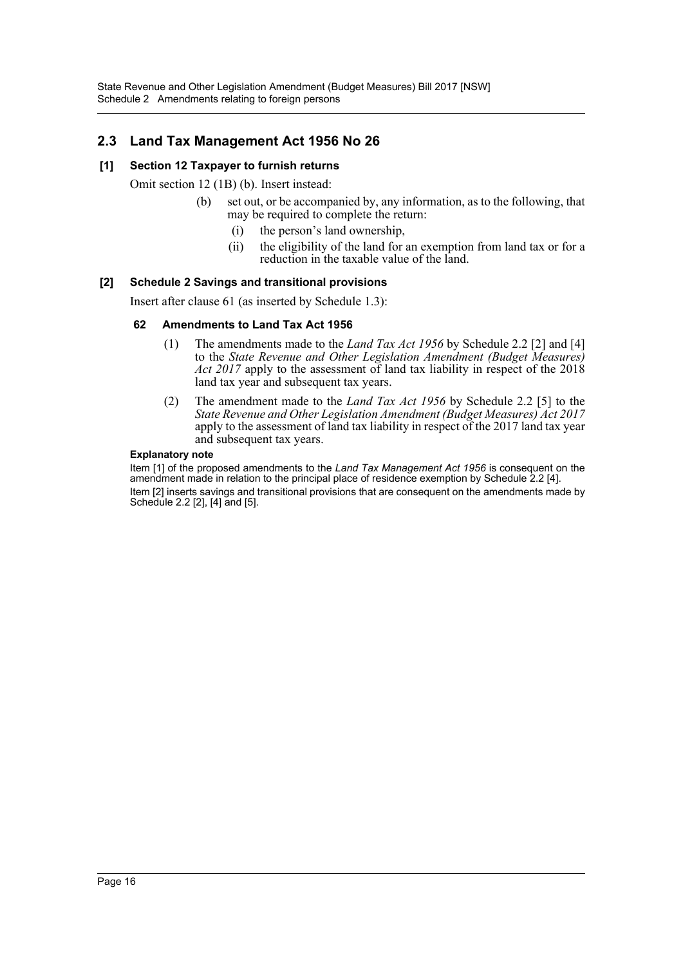# **2.3 Land Tax Management Act 1956 No 26**

#### **[1] Section 12 Taxpayer to furnish returns**

Omit section 12 (1B) (b). Insert instead:

- (b) set out, or be accompanied by, any information, as to the following, that may be required to complete the return:
	- (i) the person's land ownership,
	- (ii) the eligibility of the land for an exemption from land tax or for a reduction in the taxable value of the land.

#### **[2] Schedule 2 Savings and transitional provisions**

Insert after clause 61 (as inserted by Schedule 1.3):

#### **62 Amendments to Land Tax Act 1956**

- (1) The amendments made to the *Land Tax Act 1956* by Schedule 2.2 [2] and [4] to the *State Revenue and Other Legislation Amendment (Budget Measures) Act 2017* apply to the assessment of land tax liability in respect of the 2018 land tax year and subsequent tax years.
- (2) The amendment made to the *Land Tax Act 1956* by Schedule 2.2 [5] to the *State Revenue and Other Legislation Amendment (Budget Measures) Act 2017* apply to the assessment of land tax liability in respect of the 2017 land tax year and subsequent tax years.

#### **Explanatory note**

Item [1] of the proposed amendments to the *Land Tax Management Act 1956* is consequent on the amendment made in relation to the principal place of residence exemption by Schedule 2.2 [4]. Item [2] inserts savings and transitional provisions that are consequent on the amendments made by Schedule 2.2 [2], [4] and [5].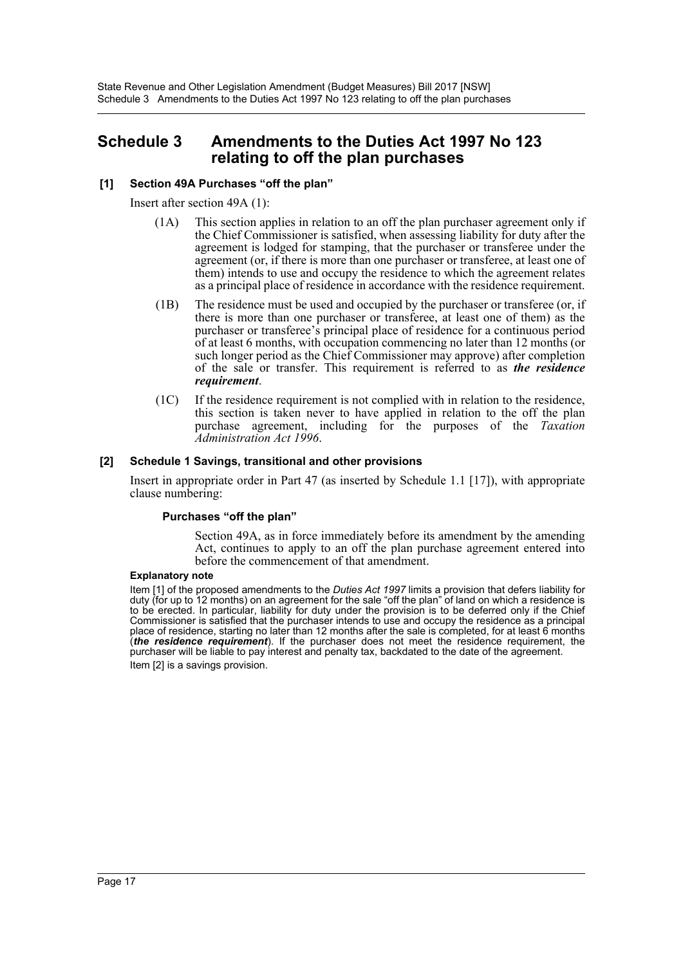# <span id="page-17-0"></span>**Schedule 3 Amendments to the Duties Act 1997 No 123 relating to off the plan purchases**

#### **[1] Section 49A Purchases "off the plan"**

Insert after section 49A (1):

- (1A) This section applies in relation to an off the plan purchaser agreement only if the Chief Commissioner is satisfied, when assessing liability for duty after the agreement is lodged for stamping, that the purchaser or transferee under the agreement (or, if there is more than one purchaser or transferee, at least one of them) intends to use and occupy the residence to which the agreement relates as a principal place of residence in accordance with the residence requirement.
- (1B) The residence must be used and occupied by the purchaser or transferee (or, if there is more than one purchaser or transferee, at least one of them) as the purchaser or transferee's principal place of residence for a continuous period of at least 6 months, with occupation commencing no later than 12 months (or such longer period as the Chief Commissioner may approve) after completion of the sale or transfer. This requirement is referred to as *the residence requirement*.
- (1C) If the residence requirement is not complied with in relation to the residence, this section is taken never to have applied in relation to the off the plan purchase agreement, including for the purposes of the *Taxation Administration Act 1996*.

#### **[2] Schedule 1 Savings, transitional and other provisions**

Insert in appropriate order in Part 47 (as inserted by Schedule 1.1 [17]), with appropriate clause numbering:

#### **Purchases "off the plan"**

Section 49A, as in force immediately before its amendment by the amending Act, continues to apply to an off the plan purchase agreement entered into before the commencement of that amendment.

#### **Explanatory note**

Item [1] of the proposed amendments to the *Duties Act 1997* limits a provision that defers liability for duty (for up to 12 months) on an agreement for the sale "off the plan" of land on which a residence is to be erected. In particular, liability for duty under the provision is to be deferred only if the Chief Commissioner is satisfied that the purchaser intends to use and occupy the residence as a principal place of residence, starting no later than 12 months after the sale is completed, for at least 6 months (*the residence requirement*). If the purchaser does not meet the residence requirement, the purchaser will be liable to pay interest and penalty tax, backdated to the date of the agreement. Item [2] is a savings provision.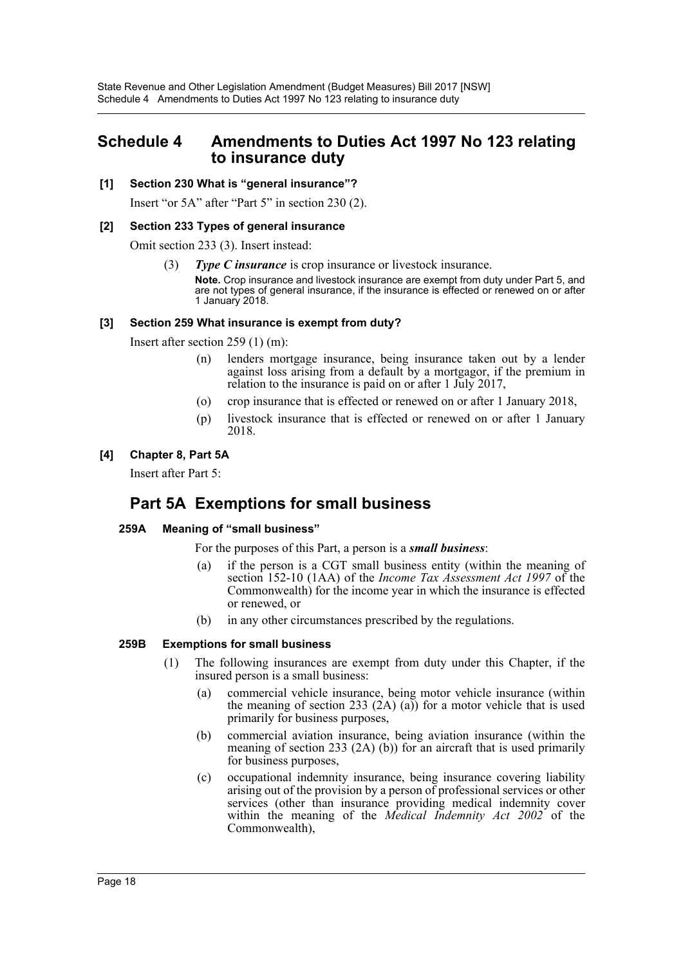# <span id="page-18-0"></span>**Schedule 4 Amendments to Duties Act 1997 No 123 relating to insurance duty**

#### **[1] Section 230 What is "general insurance"?**

Insert "or 5A" after "Part 5" in section 230 (2).

#### **[2] Section 233 Types of general insurance**

Omit section 233 (3). Insert instead:

(3) *Type C insurance* is crop insurance or livestock insurance.

**Note.** Crop insurance and livestock insurance are exempt from duty under Part 5, and are not types of general insurance, if the insurance is effected or renewed on or after 1 January 2018.

#### **[3] Section 259 What insurance is exempt from duty?**

Insert after section 259 (1) (m):

- (n) lenders mortgage insurance, being insurance taken out by a lender against loss arising from a default by a mortgagor, if the premium in relation to the insurance is paid on or after 1 July 2017,
- (o) crop insurance that is effected or renewed on or after 1 January 2018,
- (p) livestock insurance that is effected or renewed on or after 1 January 2018.

#### **[4] Chapter 8, Part 5A**

Insert after Part 5:

# **Part 5A Exemptions for small business**

## **259A Meaning of "small business"**

For the purposes of this Part, a person is a *small business*:

- (a) if the person is a CGT small business entity (within the meaning of section 152-10 (1AA) of the *Income Tax Assessment Act 1997* of the Commonwealth) for the income year in which the insurance is effected or renewed, or
- (b) in any other circumstances prescribed by the regulations.

#### **259B Exemptions for small business**

- (1) The following insurances are exempt from duty under this Chapter, if the insured person is a small business:
	- (a) commercial vehicle insurance, being motor vehicle insurance (within the meaning of section 233 (2A) (a)) for a motor vehicle that is used primarily for business purposes,
	- (b) commercial aviation insurance, being aviation insurance (within the meaning of section 233 (2A) (b)) for an aircraft that is used primarily for business purposes,
	- (c) occupational indemnity insurance, being insurance covering liability arising out of the provision by a person of professional services or other services (other than insurance providing medical indemnity cover within the meaning of the *Medical Indemnity Act 2002* of the Commonwealth),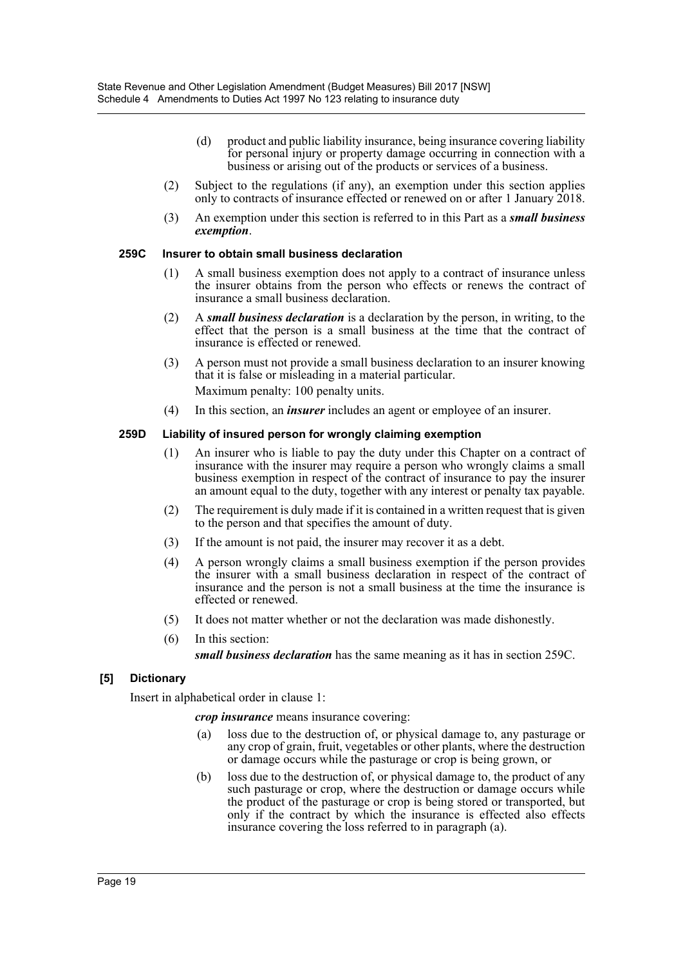- (d) product and public liability insurance, being insurance covering liability for personal injury or property damage occurring in connection with a business or arising out of the products or services of a business.
- (2) Subject to the regulations (if any), an exemption under this section applies only to contracts of insurance effected or renewed on or after 1 January 2018.
- (3) An exemption under this section is referred to in this Part as a *small business exemption*.

#### **259C Insurer to obtain small business declaration**

- (1) A small business exemption does not apply to a contract of insurance unless the insurer obtains from the person who effects or renews the contract of insurance a small business declaration.
- (2) A *small business declaration* is a declaration by the person, in writing, to the effect that the person is a small business at the time that the contract of insurance is effected or renewed.
- (3) A person must not provide a small business declaration to an insurer knowing that it is false or misleading in a material particular. Maximum penalty: 100 penalty units.
- (4) In this section, an *insurer* includes an agent or employee of an insurer.

#### **259D Liability of insured person for wrongly claiming exemption**

- (1) An insurer who is liable to pay the duty under this Chapter on a contract of insurance with the insurer may require a person who wrongly claims a small business exemption in respect of the contract of insurance to pay the insurer an amount equal to the duty, together with any interest or penalty tax payable.
- (2) The requirement is duly made if it is contained in a written request that is given to the person and that specifies the amount of duty.
- (3) If the amount is not paid, the insurer may recover it as a debt.
- (4) A person wrongly claims a small business exemption if the person provides the insurer with a small business declaration in respect of the contract of insurance and the person is not a small business at the time the insurance is effected or renewed.
- (5) It does not matter whether or not the declaration was made dishonestly.
- (6) In this section:

*small business declaration* has the same meaning as it has in section 259C.

#### **[5] Dictionary**

Insert in alphabetical order in clause 1:

*crop insurance* means insurance covering:

- (a) loss due to the destruction of, or physical damage to, any pasturage or any crop of grain, fruit, vegetables or other plants, where the destruction or damage occurs while the pasturage or crop is being grown, or
- (b) loss due to the destruction of, or physical damage to, the product of any such pasturage or crop, where the destruction or damage occurs while the product of the pasturage or crop is being stored or transported, but only if the contract by which the insurance is effected also effects insurance covering the loss referred to in paragraph (a).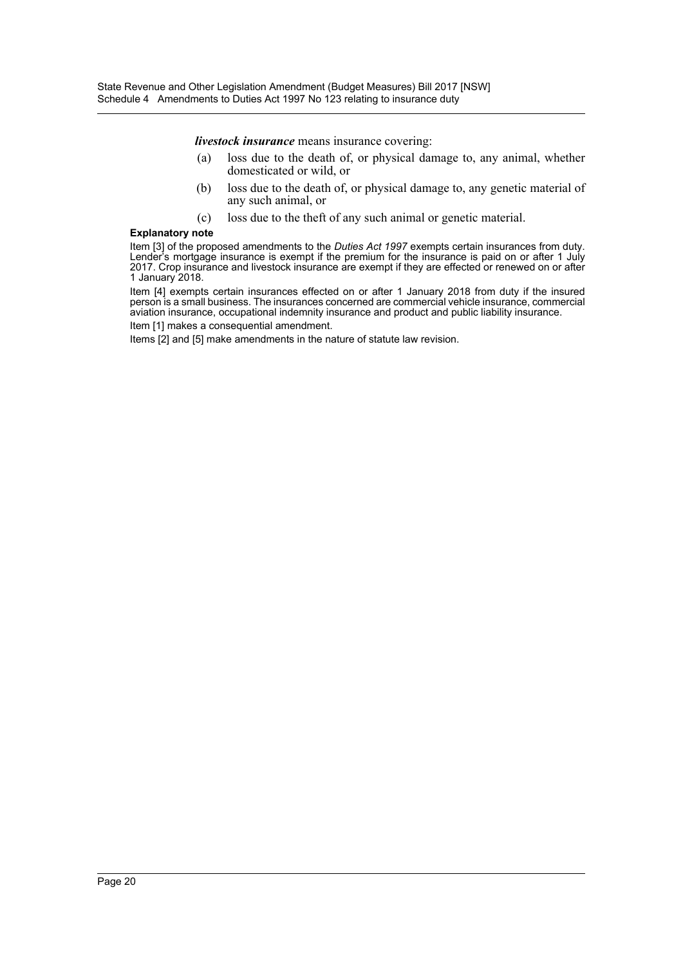*livestock insurance* means insurance covering:

- (a) loss due to the death of, or physical damage to, any animal, whether domesticated or wild, or
- (b) loss due to the death of, or physical damage to, any genetic material of any such animal, or
- (c) loss due to the theft of any such animal or genetic material.

#### **Explanatory note**

Item [3] of the proposed amendments to the *Duties Act 1997* exempts certain insurances from duty. Lender's mortgage insurance is exempt if the premium for the insurance is paid on or after 1 July 2017. Crop insurance and livestock insurance are exempt if they are effected or renewed on or after 1 January 2018.

Item [4] exempts certain insurances effected on or after 1 January 2018 from duty if the insured person is a small business. The insurances concerned are commercial vehicle insurance, commercial aviation insurance, occupational indemnity insurance and product and public liability insurance.

Item [1] makes a consequential amendment.

Items [2] and [5] make amendments in the nature of statute law revision.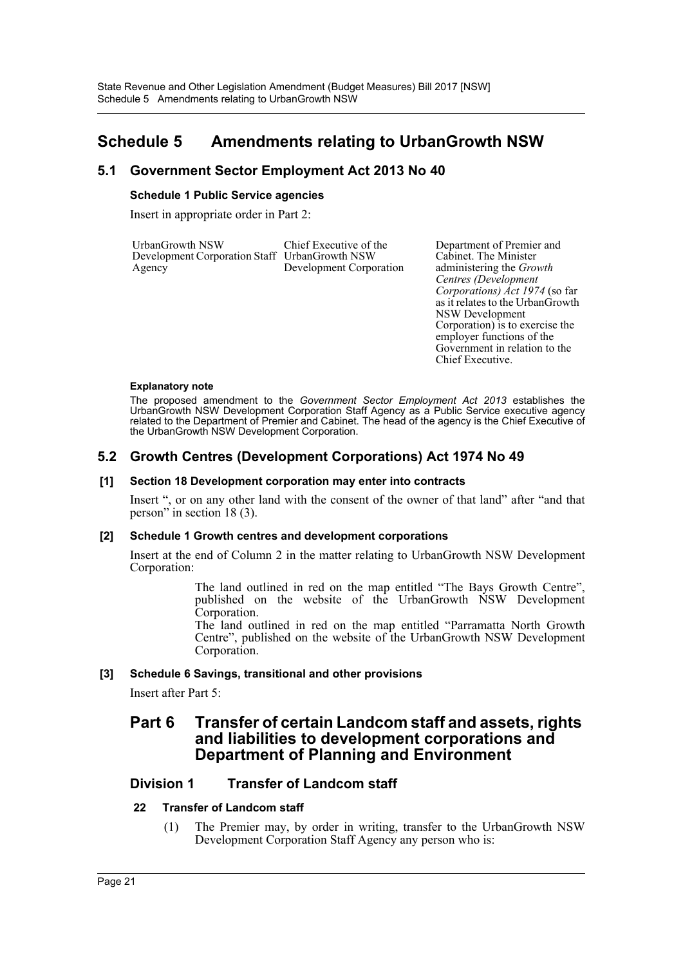# <span id="page-21-0"></span>**Schedule 5 Amendments relating to UrbanGrowth NSW**

# **5.1 Government Sector Employment Act 2013 No 40**

#### **Schedule 1 Public Service agencies**

Insert in appropriate order in Part 2:

| UrbanGrowth NSW                               | Chief Executive of the  |
|-----------------------------------------------|-------------------------|
| Development Corporation Staff UrbanGrowth NSW |                         |
| Agency                                        | Development Corporation |

Department of Premier and Cabinet. The Minister administering the *Growth Centres (Development Corporations) Act 1974* (so far as it relates to the UrbanGrowth NSW Development Corporation) is to exercise the employer functions of the Government in relation to the Chief Executive.

#### **Explanatory note**

The proposed amendment to the *Government Sector Employment Act 2013* establishes the UrbanGrowth NSW Development Corporation Staff Agency as a Public Service executive agency related to the Department of Premier and Cabinet. The head of the agency is the Chief Executive of the UrbanGrowth NSW Development Corporation.

## **5.2 Growth Centres (Development Corporations) Act 1974 No 49**

#### **[1] Section 18 Development corporation may enter into contracts**

Insert ", or on any other land with the consent of the owner of that land" after "and that person" in section 18 (3).

#### **[2] Schedule 1 Growth centres and development corporations**

Insert at the end of Column 2 in the matter relating to UrbanGrowth NSW Development Corporation:

> The land outlined in red on the map entitled "The Bays Growth Centre", published on the website of the UrbanGrowth NSW Development Corporation.

> The land outlined in red on the map entitled "Parramatta North Growth Centre", published on the website of the UrbanGrowth NSW Development Corporation.

## **[3] Schedule 6 Savings, transitional and other provisions**

Insert after Part 5:

# **Part 6 Transfer of certain Landcom staff and assets, rights and liabilities to development corporations and Department of Planning and Environment**

## **Division 1 Transfer of Landcom staff**

## **22 Transfer of Landcom staff**

(1) The Premier may, by order in writing, transfer to the UrbanGrowth NSW Development Corporation Staff Agency any person who is: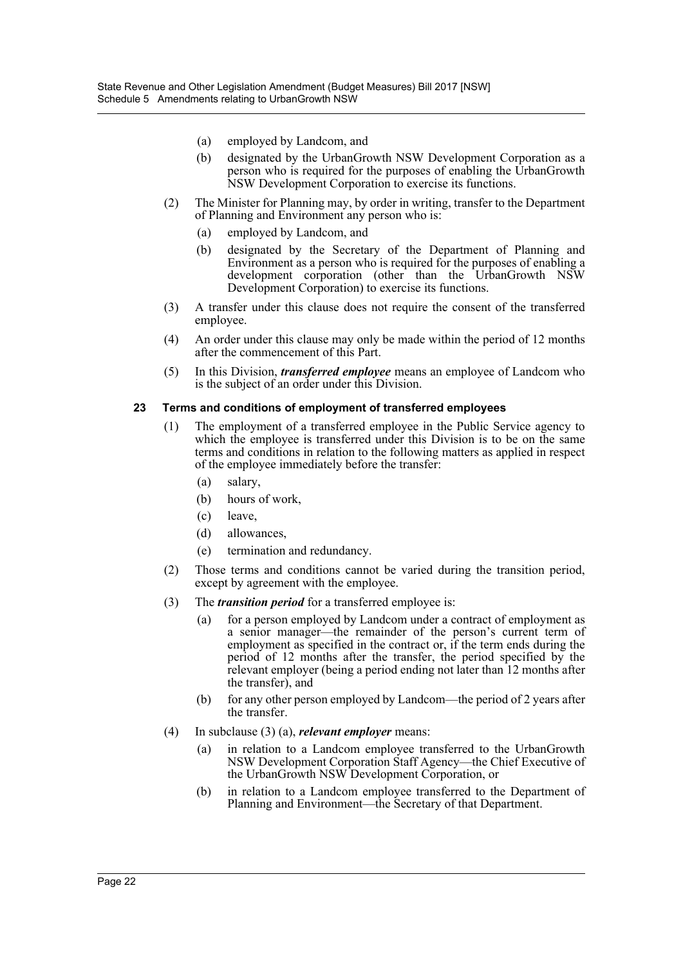- (a) employed by Landcom, and
- (b) designated by the UrbanGrowth NSW Development Corporation as a person who is required for the purposes of enabling the UrbanGrowth NSW Development Corporation to exercise its functions.
- (2) The Minister for Planning may, by order in writing, transfer to the Department of Planning and Environment any person who is:
	- (a) employed by Landcom, and
	- (b) designated by the Secretary of the Department of Planning and Environment as a person who is required for the purposes of enabling a development corporation (other than the UrbanGrowth NSW Development Corporation) to exercise its functions.
- (3) A transfer under this clause does not require the consent of the transferred employee.
- (4) An order under this clause may only be made within the period of 12 months after the commencement of this Part.
- (5) In this Division, *transferred employee* means an employee of Landcom who is the subject of an order under this Division.

#### **23 Terms and conditions of employment of transferred employees**

- (1) The employment of a transferred employee in the Public Service agency to which the employee is transferred under this Division is to be on the same terms and conditions in relation to the following matters as applied in respect of the employee immediately before the transfer:
	- (a) salary,
	- (b) hours of work,
	- (c) leave,
	- (d) allowances,
	- (e) termination and redundancy.
- (2) Those terms and conditions cannot be varied during the transition period, except by agreement with the employee.
- (3) The *transition period* for a transferred employee is:
	- (a) for a person employed by Landcom under a contract of employment as a senior manager—the remainder of the person's current term of employment as specified in the contract or, if the term ends during the period of 12 months after the transfer, the period specified by the relevant employer (being a period ending not later than 12 months after the transfer), and
	- (b) for any other person employed by Landcom—the period of 2 years after the transfer.
- (4) In subclause (3) (a), *relevant employer* means:
	- (a) in relation to a Landcom employee transferred to the UrbanGrowth NSW Development Corporation Staff Agency—the Chief Executive of the UrbanGrowth NSW Development Corporation, or
	- (b) in relation to a Landcom employee transferred to the Department of Planning and Environment—the Secretary of that Department.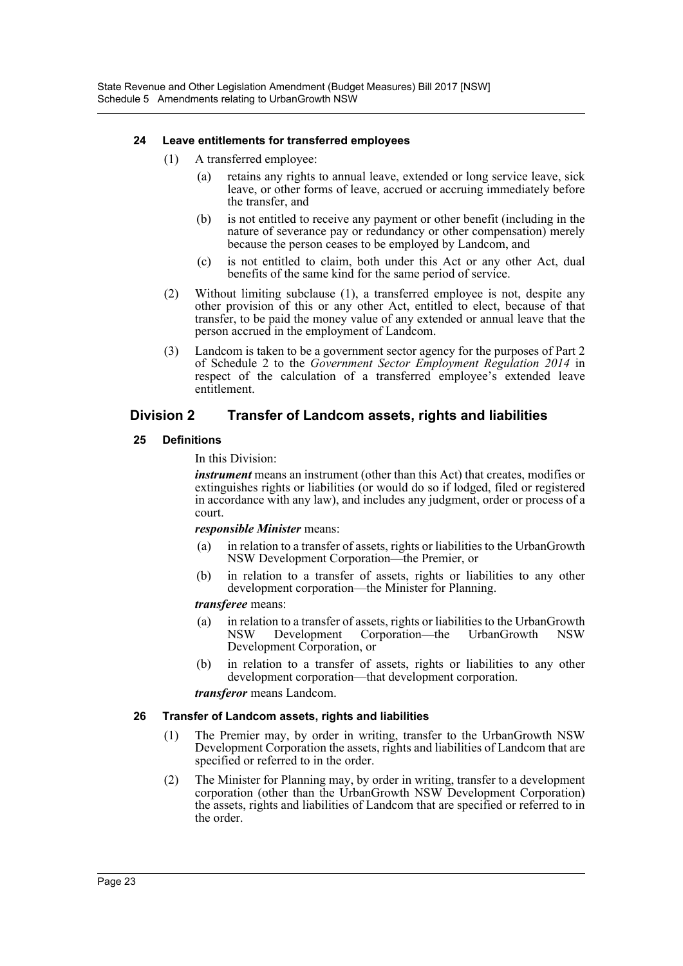#### **24 Leave entitlements for transferred employees**

- (1) A transferred employee:
	- (a) retains any rights to annual leave, extended or long service leave, sick leave, or other forms of leave, accrued or accruing immediately before the transfer, and
	- (b) is not entitled to receive any payment or other benefit (including in the nature of severance pay or redundancy or other compensation) merely because the person ceases to be employed by Landcom, and
	- (c) is not entitled to claim, both under this Act or any other Act, dual benefits of the same kind for the same period of service.
- (2) Without limiting subclause (1), a transferred employee is not, despite any other provision of this or any other Act, entitled to elect, because of that transfer, to be paid the money value of any extended or annual leave that the person accrued in the employment of Landcom.
- (3) Landcom is taken to be a government sector agency for the purposes of Part 2 of Schedule 2 to the *Government Sector Employment Regulation 2014* in respect of the calculation of a transferred employee's extended leave entitlement.

## **Division 2 Transfer of Landcom assets, rights and liabilities**

#### **25 Definitions**

In this Division:

*instrument* means an instrument (other than this Act) that creates, modifies or extinguishes rights or liabilities (or would do so if lodged, filed or registered in accordance with any law), and includes any judgment, order or process of a court.

#### *responsible Minister* means:

- (a) in relation to a transfer of assets, rights or liabilities to the UrbanGrowth NSW Development Corporation—the Premier, or
- (b) in relation to a transfer of assets, rights or liabilities to any other development corporation—the Minister for Planning.

#### *transferee* means:

- (a) in relation to a transfer of assets, rights or liabilities to the UrbanGrowth<br>NSW Development Corporation—the UrbanGrowth NSW Corporation—the UrbanGrowth NSW Development Corporation, or
- (b) in relation to a transfer of assets, rights or liabilities to any other development corporation—that development corporation. *transferor* means Landcom.

# **26 Transfer of Landcom assets, rights and liabilities**

- (1) The Premier may, by order in writing, transfer to the UrbanGrowth NSW Development Corporation the assets, rights and liabilities of Landcom that are specified or referred to in the order.
- (2) The Minister for Planning may, by order in writing, transfer to a development corporation (other than the UrbanGrowth NSW Development Corporation) the assets, rights and liabilities of Landcom that are specified or referred to in the order.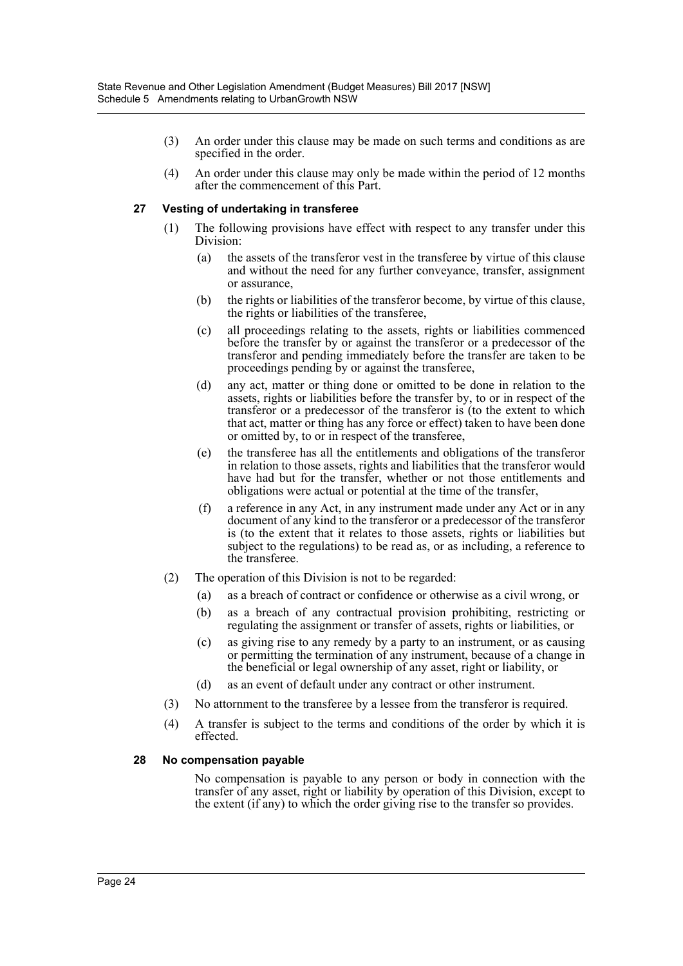- (3) An order under this clause may be made on such terms and conditions as are specified in the order.
- (4) An order under this clause may only be made within the period of 12 months after the commencement of this Part.

#### **27 Vesting of undertaking in transferee**

- (1) The following provisions have effect with respect to any transfer under this Division:
	- (a) the assets of the transferor vest in the transferee by virtue of this clause and without the need for any further conveyance, transfer, assignment or assurance,
	- (b) the rights or liabilities of the transferor become, by virtue of this clause, the rights or liabilities of the transferee,
	- (c) all proceedings relating to the assets, rights or liabilities commenced before the transfer by or against the transferor or a predecessor of the transferor and pending immediately before the transfer are taken to be proceedings pending by or against the transferee,
	- (d) any act, matter or thing done or omitted to be done in relation to the assets, rights or liabilities before the transfer by, to or in respect of the transferor or a predecessor of the transferor is (to the extent to which that act, matter or thing has any force or effect) taken to have been done or omitted by, to or in respect of the transferee,
	- (e) the transferee has all the entitlements and obligations of the transferor in relation to those assets, rights and liabilities that the transferor would have had but for the transfer, whether or not those entitlements and obligations were actual or potential at the time of the transfer,
	- (f) a reference in any Act, in any instrument made under any Act or in any document of any kind to the transferor or a predecessor of the transferor is (to the extent that it relates to those assets, rights or liabilities but subject to the regulations) to be read as, or as including, a reference to the transferee.
- (2) The operation of this Division is not to be regarded:
	- (a) as a breach of contract or confidence or otherwise as a civil wrong, or
	- (b) as a breach of any contractual provision prohibiting, restricting or regulating the assignment or transfer of assets, rights or liabilities, or
	- (c) as giving rise to any remedy by a party to an instrument, or as causing or permitting the termination of any instrument, because of a change in the beneficial or legal ownership of any asset, right or liability, or
	- (d) as an event of default under any contract or other instrument.
- (3) No attornment to the transferee by a lessee from the transferor is required.
- (4) A transfer is subject to the terms and conditions of the order by which it is effected.

#### **28 No compensation payable**

No compensation is payable to any person or body in connection with the transfer of any asset, right or liability by operation of this Division, except to the extent (if any) to which the order giving rise to the transfer so provides.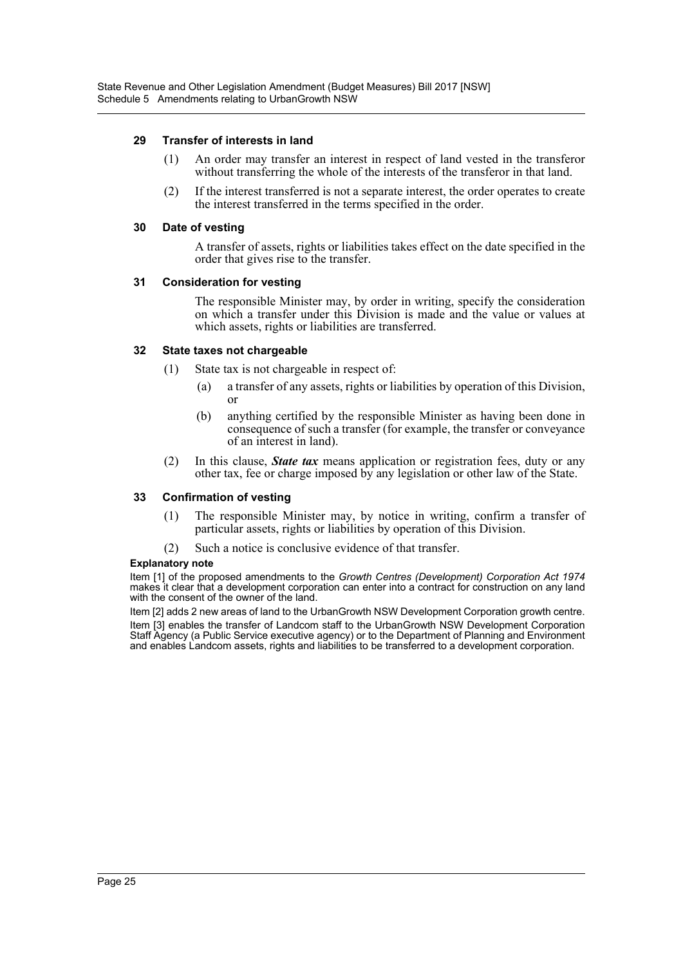#### **29 Transfer of interests in land**

- (1) An order may transfer an interest in respect of land vested in the transferor without transferring the whole of the interests of the transferor in that land.
- (2) If the interest transferred is not a separate interest, the order operates to create the interest transferred in the terms specified in the order.

#### **30 Date of vesting**

A transfer of assets, rights or liabilities takes effect on the date specified in the order that gives rise to the transfer.

#### **31 Consideration for vesting**

The responsible Minister may, by order in writing, specify the consideration on which a transfer under this Division is made and the value or values at which assets, rights or liabilities are transferred.

#### **32 State taxes not chargeable**

- (1) State tax is not chargeable in respect of:
	- (a) a transfer of any assets, rights or liabilities by operation of this Division, or
	- (b) anything certified by the responsible Minister as having been done in consequence of such a transfer (for example, the transfer or conveyance of an interest in land).
- (2) In this clause, *State tax* means application or registration fees, duty or any other tax, fee or charge imposed by any legislation or other law of the State.

#### **33 Confirmation of vesting**

- (1) The responsible Minister may, by notice in writing, confirm a transfer of particular assets, rights or liabilities by operation of this Division.
- (2) Such a notice is conclusive evidence of that transfer.

#### **Explanatory note**

Item [1] of the proposed amendments to the *Growth Centres (Development) Corporation Act 1974* makes it clear that a development corporation can enter into a contract for construction on any land with the consent of the owner of the land.

Item [2] adds 2 new areas of land to the UrbanGrowth NSW Development Corporation growth centre. Item [3] enables the transfer of Landcom staff to the UrbanGrowth NSW Development Corporation Staff Agency (a Public Service executive agency) or to the Department of Planning and Environment and enables Landcom assets, rights and liabilities to be transferred to a development corporation.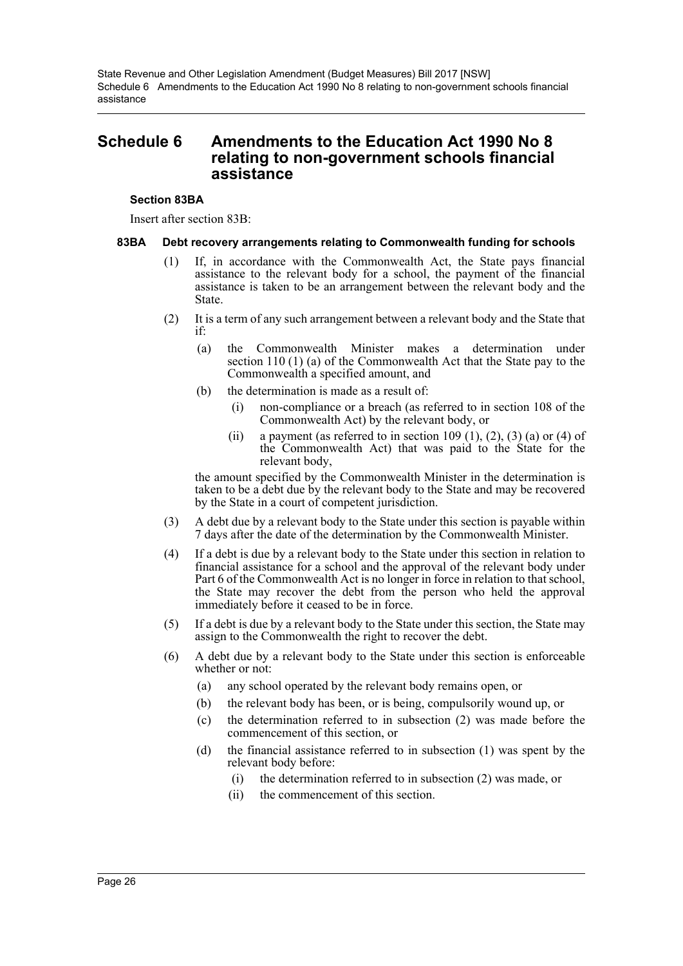# <span id="page-26-0"></span>**Schedule 6 Amendments to the Education Act 1990 No 8 relating to non-government schools financial assistance**

#### **Section 83BA**

Insert after section 83B:

#### **83BA Debt recovery arrangements relating to Commonwealth funding for schools**

- (1) If, in accordance with the Commonwealth Act, the State pays financial assistance to the relevant body for a school, the payment of the financial assistance is taken to be an arrangement between the relevant body and the State.
- (2) It is a term of any such arrangement between a relevant body and the State that if:
	- (a) the Commonwealth Minister makes a determination under section 110 (1) (a) of the Commonwealth Act that the State pay to the Commonwealth a specified amount, and
	- (b) the determination is made as a result of:
		- (i) non-compliance or a breach (as referred to in section 108 of the Commonwealth Act) by the relevant body, or
		- (ii) a payment (as referred to in section 109 (1), (2), (3) (a) or (4) of the Commonwealth Act) that was paid to the State for the relevant body,

the amount specified by the Commonwealth Minister in the determination is taken to be a debt due by the relevant body to the State and may be recovered by the State in a court of competent jurisdiction.

- (3) A debt due by a relevant body to the State under this section is payable within 7 days after the date of the determination by the Commonwealth Minister.
- (4) If a debt is due by a relevant body to the State under this section in relation to financial assistance for a school and the approval of the relevant body under Part 6 of the Commonwealth Act is no longer in force in relation to that school, the State may recover the debt from the person who held the approval immediately before it ceased to be in force.
- (5) If a debt is due by a relevant body to the State under this section, the State may assign to the Commonwealth the right to recover the debt.
- (6) A debt due by a relevant body to the State under this section is enforceable whether or not:
	- (a) any school operated by the relevant body remains open, or
	- (b) the relevant body has been, or is being, compulsorily wound up, or
	- (c) the determination referred to in subsection (2) was made before the commencement of this section, or
	- (d) the financial assistance referred to in subsection (1) was spent by the relevant body before:
		- (i) the determination referred to in subsection (2) was made, or
		- (ii) the commencement of this section.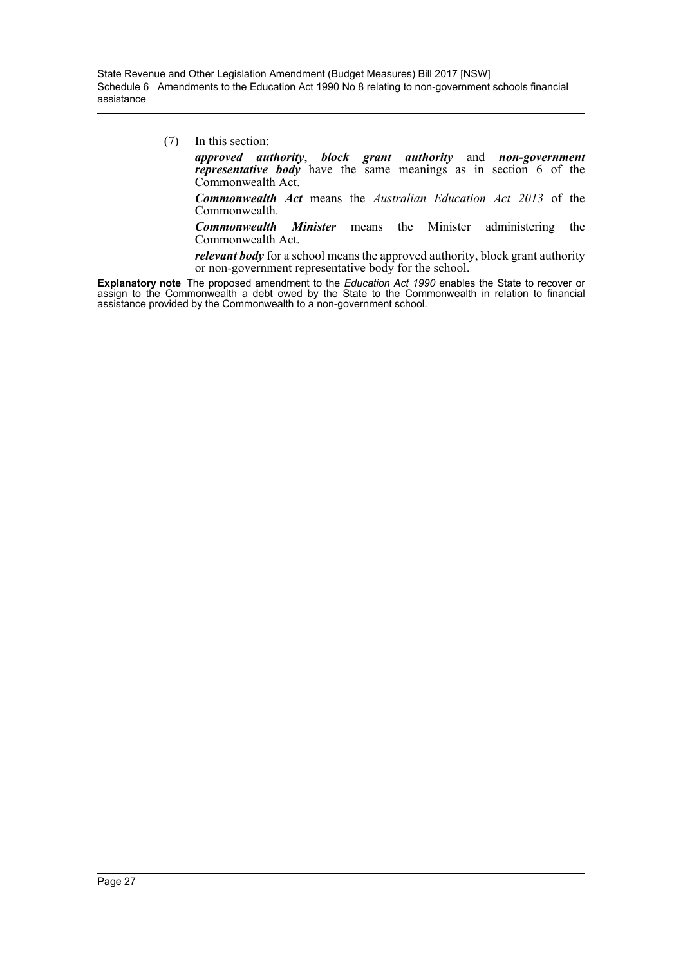(7) In this section:

*approved authority*, *block grant authority* and *non-government representative body* have the same meanings as in section 6 of the Commonwealth Act.

*Commonwealth Act* means the *Australian Education Act 2013* of the Commonwealth.

*Commonwealth Minister* means the Minister administering the Commonwealth Act.

*relevant body* for a school means the approved authority, block grant authority or non-government representative body for the school.

**Explanatory note** The proposed amendment to the *Education Act 1990* enables the State to recover or assign to the Commonwealth a debt owed by the State to the Commonwealth in relation to financial assistance provided by the Commonwealth to a non-government school.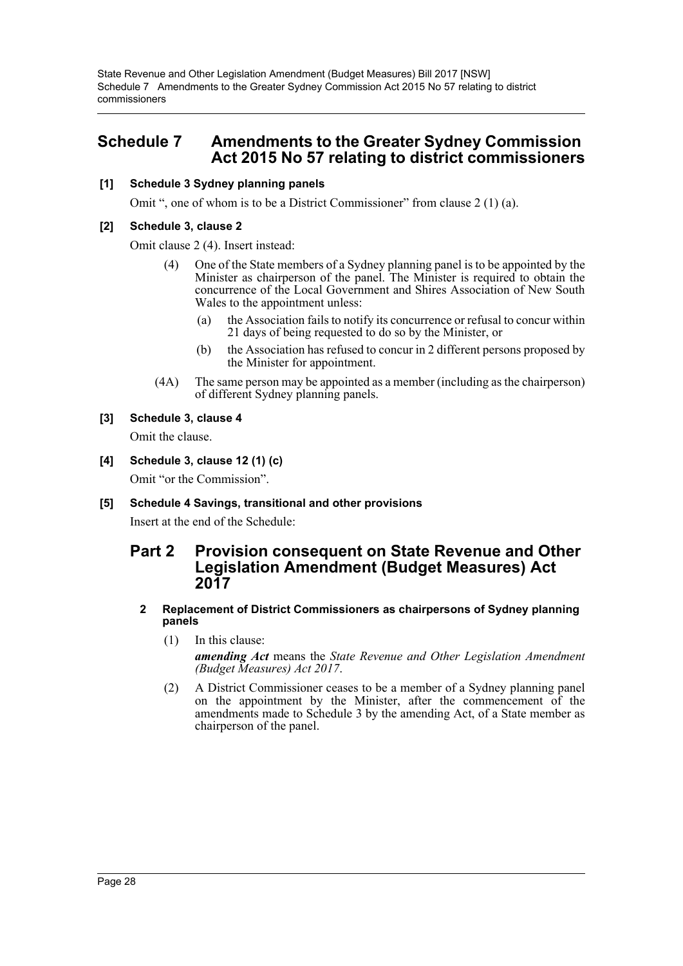State Revenue and Other Legislation Amendment (Budget Measures) Bill 2017 [NSW] Schedule 7 Amendments to the Greater Sydney Commission Act 2015 No 57 relating to district commissioners

# <span id="page-28-0"></span>**Schedule 7 Amendments to the Greater Sydney Commission Act 2015 No 57 relating to district commissioners**

#### **[1] Schedule 3 Sydney planning panels**

Omit ", one of whom is to be a District Commissioner" from clause 2 (1) (a).

#### **[2] Schedule 3, clause 2**

Omit clause 2 (4). Insert instead:

- (4) One of the State members of a Sydney planning panel is to be appointed by the Minister as chairperson of the panel. The Minister is required to obtain the concurrence of the Local Government and Shires Association of New South Wales to the appointment unless:
	- (a) the Association fails to notify its concurrence or refusal to concur within 21 days of being requested to do so by the Minister, or
	- (b) the Association has refused to concur in 2 different persons proposed by the Minister for appointment.
- (4A) The same person may be appointed as a member (including as the chairperson) of different Sydney planning panels.

## **[3] Schedule 3, clause 4**

Omit the clause.

**[4] Schedule 3, clause 12 (1) (c)**

Omit "or the Commission".

## **[5] Schedule 4 Savings, transitional and other provisions**

Insert at the end of the Schedule:

# **Part 2 Provision consequent on State Revenue and Other Legislation Amendment (Budget Measures) Act 2017**

#### **2 Replacement of District Commissioners as chairpersons of Sydney planning panels**

- (1) In this clause: *amending Act* means the *State Revenue and Other Legislation Amendment (Budget Measures) Act 2017*.
- (2) A District Commissioner ceases to be a member of a Sydney planning panel on the appointment by the Minister, after the commencement of the amendments made to Schedule 3 by the amending Act, of a State member as chairperson of the panel.